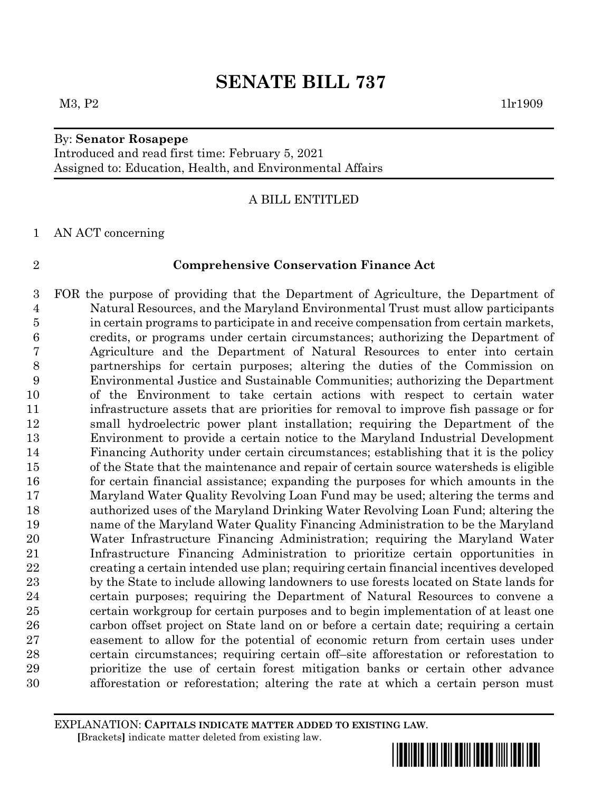#### $M3, P2$  1lr1909

### By: **Senator Rosapepe**

Introduced and read first time: February 5, 2021 Assigned to: Education, Health, and Environmental Affairs

### A BILL ENTITLED

AN ACT concerning

#### **Comprehensive Conservation Finance Act**

 FOR the purpose of providing that the Department of Agriculture, the Department of Natural Resources, and the Maryland Environmental Trust must allow participants in certain programs to participate in and receive compensation from certain markets, credits, or programs under certain circumstances; authorizing the Department of Agriculture and the Department of Natural Resources to enter into certain partnerships for certain purposes; altering the duties of the Commission on Environmental Justice and Sustainable Communities; authorizing the Department of the Environment to take certain actions with respect to certain water infrastructure assets that are priorities for removal to improve fish passage or for small hydroelectric power plant installation; requiring the Department of the Environment to provide a certain notice to the Maryland Industrial Development Financing Authority under certain circumstances; establishing that it is the policy of the State that the maintenance and repair of certain source watersheds is eligible for certain financial assistance; expanding the purposes for which amounts in the Maryland Water Quality Revolving Loan Fund may be used; altering the terms and authorized uses of the Maryland Drinking Water Revolving Loan Fund; altering the name of the Maryland Water Quality Financing Administration to be the Maryland Water Infrastructure Financing Administration; requiring the Maryland Water Infrastructure Financing Administration to prioritize certain opportunities in creating a certain intended use plan; requiring certain financial incentives developed by the State to include allowing landowners to use forests located on State lands for certain purposes; requiring the Department of Natural Resources to convene a certain workgroup for certain purposes and to begin implementation of at least one carbon offset project on State land on or before a certain date; requiring a certain easement to allow for the potential of economic return from certain uses under certain circumstances; requiring certain off–site afforestation or reforestation to prioritize the use of certain forest mitigation banks or certain other advance afforestation or reforestation; altering the rate at which a certain person must

EXPLANATION: **CAPITALS INDICATE MATTER ADDED TO EXISTING LAW**.  **[**Brackets**]** indicate matter deleted from existing law.

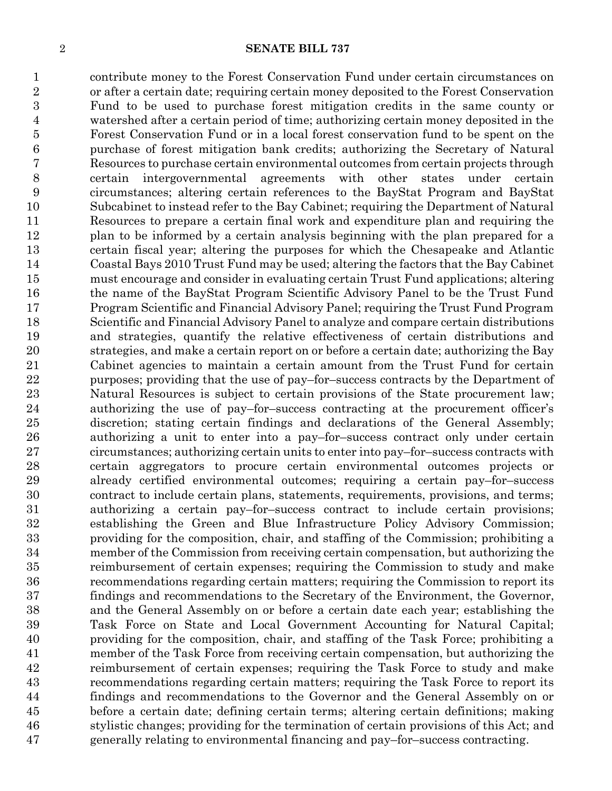contribute money to the Forest Conservation Fund under certain circumstances on or after a certain date; requiring certain money deposited to the Forest Conservation Fund to be used to purchase forest mitigation credits in the same county or watershed after a certain period of time; authorizing certain money deposited in the Forest Conservation Fund or in a local forest conservation fund to be spent on the purchase of forest mitigation bank credits; authorizing the Secretary of Natural Resources to purchase certain environmental outcomes from certain projects through certain intergovernmental agreements with other states under certain circumstances; altering certain references to the BayStat Program and BayStat Subcabinet to instead refer to the Bay Cabinet; requiring the Department of Natural Resources to prepare a certain final work and expenditure plan and requiring the plan to be informed by a certain analysis beginning with the plan prepared for a certain fiscal year; altering the purposes for which the Chesapeake and Atlantic Coastal Bays 2010 Trust Fund may be used; altering the factors that the Bay Cabinet must encourage and consider in evaluating certain Trust Fund applications; altering the name of the BayStat Program Scientific Advisory Panel to be the Trust Fund Program Scientific and Financial Advisory Panel; requiring the Trust Fund Program Scientific and Financial Advisory Panel to analyze and compare certain distributions and strategies, quantify the relative effectiveness of certain distributions and strategies, and make a certain report on or before a certain date; authorizing the Bay Cabinet agencies to maintain a certain amount from the Trust Fund for certain purposes; providing that the use of pay–for–success contracts by the Department of Natural Resources is subject to certain provisions of the State procurement law; authorizing the use of pay–for–success contracting at the procurement officer's discretion; stating certain findings and declarations of the General Assembly; authorizing a unit to enter into a pay–for–success contract only under certain circumstances; authorizing certain units to enter into pay–for–success contracts with certain aggregators to procure certain environmental outcomes projects or already certified environmental outcomes; requiring a certain pay–for–success contract to include certain plans, statements, requirements, provisions, and terms; authorizing a certain pay–for–success contract to include certain provisions; establishing the Green and Blue Infrastructure Policy Advisory Commission; providing for the composition, chair, and staffing of the Commission; prohibiting a member of the Commission from receiving certain compensation, but authorizing the reimbursement of certain expenses; requiring the Commission to study and make recommendations regarding certain matters; requiring the Commission to report its findings and recommendations to the Secretary of the Environment, the Governor, and the General Assembly on or before a certain date each year; establishing the Task Force on State and Local Government Accounting for Natural Capital; providing for the composition, chair, and staffing of the Task Force; prohibiting a member of the Task Force from receiving certain compensation, but authorizing the reimbursement of certain expenses; requiring the Task Force to study and make recommendations regarding certain matters; requiring the Task Force to report its findings and recommendations to the Governor and the General Assembly on or before a certain date; defining certain terms; altering certain definitions; making stylistic changes; providing for the termination of certain provisions of this Act; and generally relating to environmental financing and pay–for–success contracting.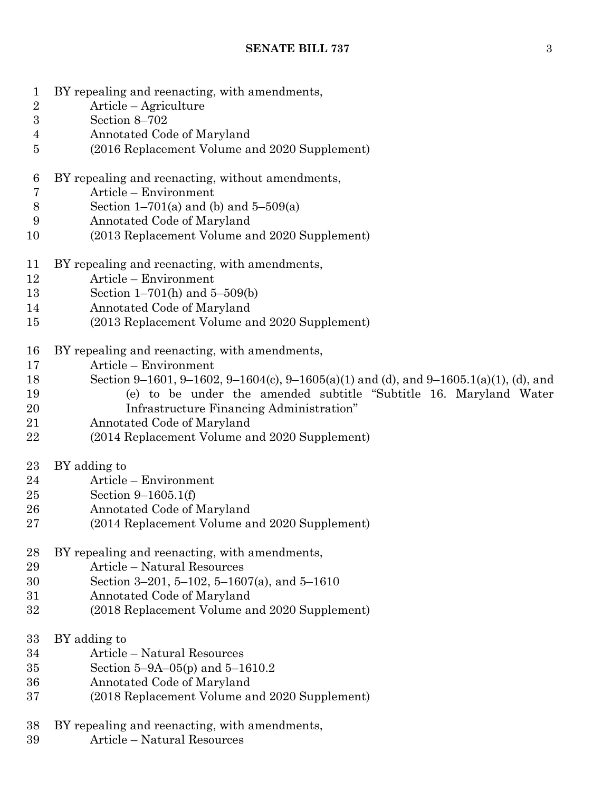- BY repealing and reenacting, with amendments,
- Article Agriculture
- Section 8–702
- Annotated Code of Maryland
- (2016 Replacement Volume and 2020 Supplement)
- BY repealing and reenacting, without amendments,
- Article Environment
- 8 Section  $1-701(a)$  and (b) and  $5-509(a)$
- Annotated Code of Maryland
- (2013 Replacement Volume and 2020 Supplement)
- BY repealing and reenacting, with amendments,
- Article Environment
- Section 1–701(h) and 5–509(b)
- Annotated Code of Maryland
- (2013 Replacement Volume and 2020 Supplement)
- BY repealing and reenacting, with amendments,
- Article Environment
- Section 9–1601, 9–1602, 9–1604(c), 9–1605(a)(1) and (d), and 9–1605.1(a)(1), (d), and
- (e) to be under the amended subtitle "Subtitle 16. Maryland Water
- Infrastructure Financing Administration"
- Annotated Code of Maryland
- (2014 Replacement Volume and 2020 Supplement)
- BY adding to
- Article Environment
- Section 9–1605.1(f)
- Annotated Code of Maryland
- (2014 Replacement Volume and 2020 Supplement)
- BY repealing and reenacting, with amendments,
- Article Natural Resources
- Section 3–201, 5–102, 5–1607(a), and 5–1610
- Annotated Code of Maryland
- (2018 Replacement Volume and 2020 Supplement)
- BY adding to
- Article Natural Resources
- Section 5–9A–05(p) and 5–1610.2
- Annotated Code of Maryland
- (2018 Replacement Volume and 2020 Supplement)
- BY repealing and reenacting, with amendments,
- Article Natural Resources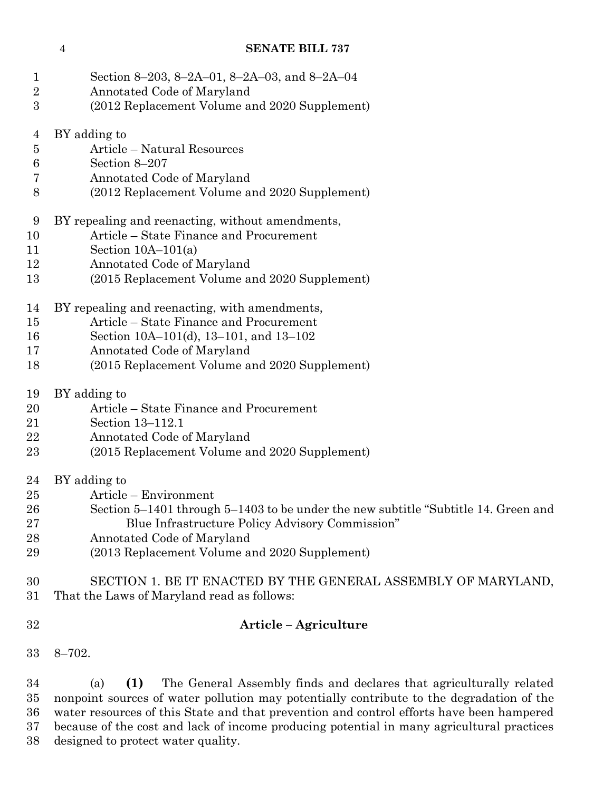| 1<br>$\overline{2}$ | Section 8-203, 8-2A-01, 8-2A-03, and 8-2A-04<br>Annotated Code of Maryland         |
|---------------------|------------------------------------------------------------------------------------|
| 3                   | (2012 Replacement Volume and 2020 Supplement)                                      |
| $\overline{4}$      | BY adding to                                                                       |
| 5                   | Article – Natural Resources                                                        |
| 6                   | Section 8-207                                                                      |
| 7                   | Annotated Code of Maryland                                                         |
| 8                   | (2012 Replacement Volume and 2020 Supplement)                                      |
| 9                   | BY repealing and reenacting, without amendments,                                   |
| 10                  | Article – State Finance and Procurement                                            |
| 11                  | Section $10A-101(a)$                                                               |
| 12                  | Annotated Code of Maryland                                                         |
| 13                  | (2015 Replacement Volume and 2020 Supplement)                                      |
| 14                  | BY repealing and reenacting, with amendments,                                      |
| 15                  | Article – State Finance and Procurement                                            |
| 16                  | Section 10A-101(d), 13-101, and 13-102                                             |
| 17                  | Annotated Code of Maryland                                                         |
| 18                  | (2015 Replacement Volume and 2020 Supplement)                                      |
| 19                  | BY adding to                                                                       |
| 20                  | Article – State Finance and Procurement                                            |
| 21                  | Section 13-112.1                                                                   |
| 22                  | Annotated Code of Maryland                                                         |
| 23                  | (2015 Replacement Volume and 2020 Supplement)                                      |
| 24                  | BY adding to                                                                       |
| 25                  | Article – Environment                                                              |
| 26                  | Section 5–1401 through 5–1403 to be under the new subtitle "Subtitle 14. Green and |
| 27                  | Blue Infrastructure Policy Advisory Commission"                                    |
| 28                  | Annotated Code of Maryland                                                         |
| 29                  | (2013 Replacement Volume and 2020 Supplement)                                      |
| 30                  | SECTION 1. BE IT ENACTED BY THE GENERAL ASSEMBLY OF MARYLAND,                      |
| 31                  | That the Laws of Maryland read as follows:                                         |
| 32                  | Article – Agriculture                                                              |
| 33                  | $8 - 702.$                                                                         |
|                     |                                                                                    |

 (a) **(1)** The General Assembly finds and declares that agriculturally related nonpoint sources of water pollution may potentially contribute to the degradation of the water resources of this State and that prevention and control efforts have been hampered because of the cost and lack of income producing potential in many agricultural practices designed to protect water quality.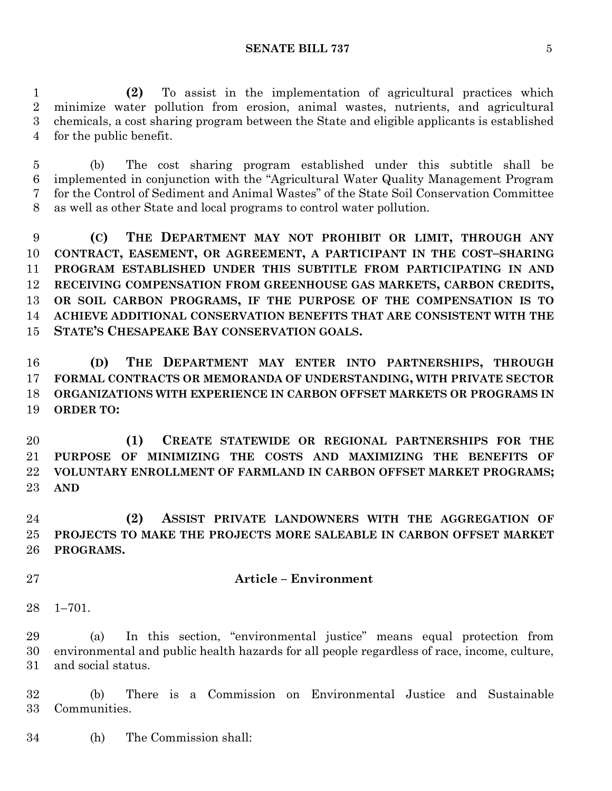**(2)** To assist in the implementation of agricultural practices which minimize water pollution from erosion, animal wastes, nutrients, and agricultural chemicals, a cost sharing program between the State and eligible applicants is established for the public benefit.

 (b) The cost sharing program established under this subtitle shall be implemented in conjunction with the "Agricultural Water Quality Management Program for the Control of Sediment and Animal Wastes" of the State Soil Conservation Committee as well as other State and local programs to control water pollution.

 **(C) THE DEPARTMENT MAY NOT PROHIBIT OR LIMIT, THROUGH ANY CONTRACT, EASEMENT, OR AGREEMENT, A PARTICIPANT IN THE COST–SHARING PROGRAM ESTABLISHED UNDER THIS SUBTITLE FROM PARTICIPATING IN AND RECEIVING COMPENSATION FROM GREENHOUSE GAS MARKETS, CARBON CREDITS, OR SOIL CARBON PROGRAMS, IF THE PURPOSE OF THE COMPENSATION IS TO ACHIEVE ADDITIONAL CONSERVATION BENEFITS THAT ARE CONSISTENT WITH THE STATE'S CHESAPEAKE BAY CONSERVATION GOALS.**

 **(D) THE DEPARTMENT MAY ENTER INTO PARTNERSHIPS, THROUGH FORMAL CONTRACTS OR MEMORANDA OF UNDERSTANDING, WITH PRIVATE SECTOR ORGANIZATIONS WITH EXPERIENCE IN CARBON OFFSET MARKETS OR PROGRAMS IN ORDER TO:**

 **(1) CREATE STATEWIDE OR REGIONAL PARTNERSHIPS FOR THE PURPOSE OF MINIMIZING THE COSTS AND MAXIMIZING THE BENEFITS OF VOLUNTARY ENROLLMENT OF FARMLAND IN CARBON OFFSET MARKET PROGRAMS; AND**

 **(2) ASSIST PRIVATE LANDOWNERS WITH THE AGGREGATION OF PROJECTS TO MAKE THE PROJECTS MORE SALEABLE IN CARBON OFFSET MARKET PROGRAMS.**

- **Article – Environment**
- 1–701.

 (a) In this section, "environmental justice" means equal protection from environmental and public health hazards for all people regardless of race, income, culture, and social status.

 (b) There is a Commission on Environmental Justice and Sustainable Communities.

(h) The Commission shall: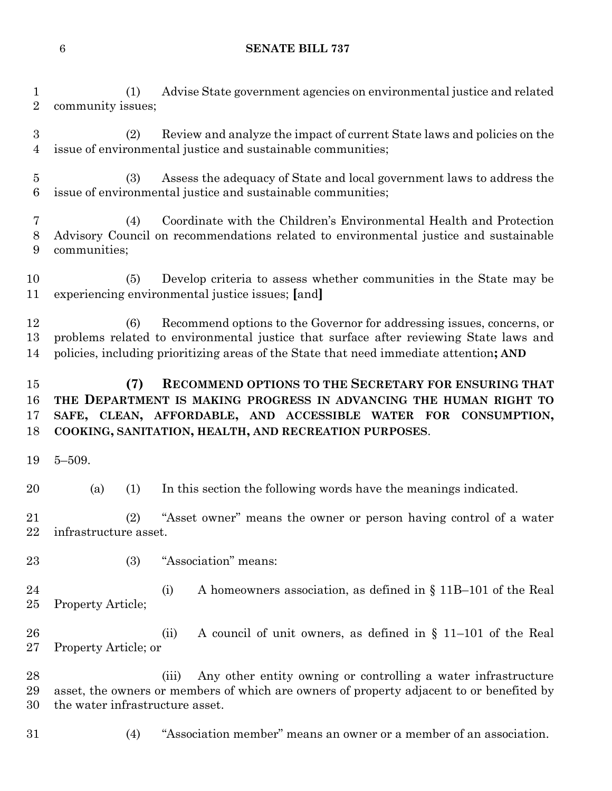(1) Advise State government agencies on environmental justice and related community issues;

 (2) Review and analyze the impact of current State laws and policies on the issue of environmental justice and sustainable communities;

 (3) Assess the adequacy of State and local government laws to address the issue of environmental justice and sustainable communities;

 (4) Coordinate with the Children's Environmental Health and Protection Advisory Council on recommendations related to environmental justice and sustainable communities;

 (5) Develop criteria to assess whether communities in the State may be experiencing environmental justice issues; **[**and**]**

 (6) Recommend options to the Governor for addressing issues, concerns, or problems related to environmental justice that surface after reviewing State laws and policies, including prioritizing areas of the State that need immediate attention**; AND**

# **(7) RECOMMEND OPTIONS TO THE SECRETARY FOR ENSURING THAT THE DEPARTMENT IS MAKING PROGRESS IN ADVANCING THE HUMAN RIGHT TO SAFE, CLEAN, AFFORDABLE, AND ACCESSIBLE WATER FOR CONSUMPTION, COOKING, SANITATION, HEALTH, AND RECREATION PURPOSES**.

5–509.

(a) (1) In this section the following words have the meanings indicated.

 (2) "Asset owner" means the owner or person having control of a water infrastructure asset.

(3) "Association" means:

 (i) A homeowners association, as defined in § 11B–101 of the Real Property Article;

 (ii) A council of unit owners, as defined in § 11–101 of the Real Property Article; or

 (iii) Any other entity owning or controlling a water infrastructure asset, the owners or members of which are owners of property adjacent to or benefited by the water infrastructure asset.

(4) "Association member" means an owner or a member of an association.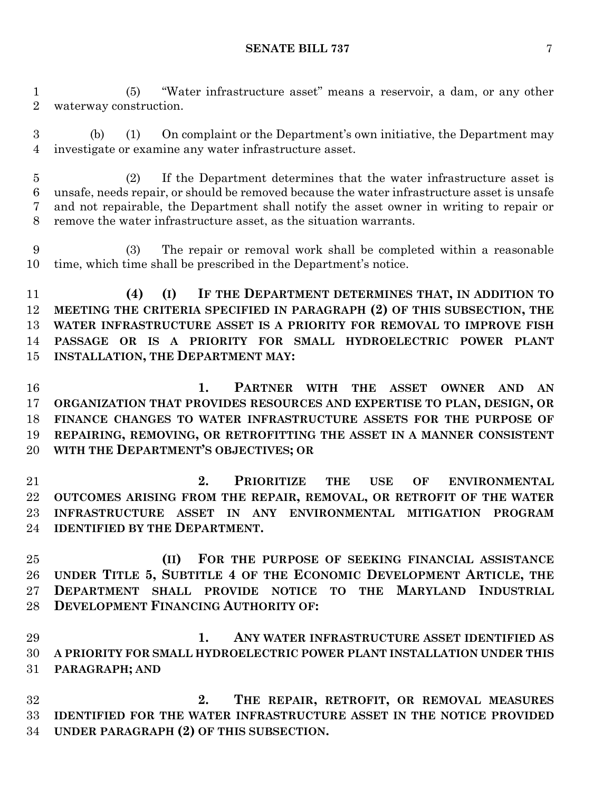(5) "Water infrastructure asset" means a reservoir, a dam, or any other waterway construction.

 (b) (1) On complaint or the Department's own initiative, the Department may investigate or examine any water infrastructure asset.

 (2) If the Department determines that the water infrastructure asset is unsafe, needs repair, or should be removed because the water infrastructure asset is unsafe and not repairable, the Department shall notify the asset owner in writing to repair or remove the water infrastructure asset, as the situation warrants.

 (3) The repair or removal work shall be completed within a reasonable time, which time shall be prescribed in the Department's notice.

 **(4) (I) IF THE DEPARTMENT DETERMINES THAT, IN ADDITION TO MEETING THE CRITERIA SPECIFIED IN PARAGRAPH (2) OF THIS SUBSECTION, THE WATER INFRASTRUCTURE ASSET IS A PRIORITY FOR REMOVAL TO IMPROVE FISH PASSAGE OR IS A PRIORITY FOR SMALL HYDROELECTRIC POWER PLANT INSTALLATION, THE DEPARTMENT MAY:**

 **1. PARTNER WITH THE ASSET OWNER AND AN ORGANIZATION THAT PROVIDES RESOURCES AND EXPERTISE TO PLAN, DESIGN, OR FINANCE CHANGES TO WATER INFRASTRUCTURE ASSETS FOR THE PURPOSE OF REPAIRING, REMOVING, OR RETROFITTING THE ASSET IN A MANNER CONSISTENT WITH THE DEPARTMENT'S OBJECTIVES; OR**

 **2. PRIORITIZE THE USE OF ENVIRONMENTAL OUTCOMES ARISING FROM THE REPAIR, REMOVAL, OR RETROFIT OF THE WATER INFRASTRUCTURE ASSET IN ANY ENVIRONMENTAL MITIGATION PROGRAM IDENTIFIED BY THE DEPARTMENT.**

 **(II) FOR THE PURPOSE OF SEEKING FINANCIAL ASSISTANCE UNDER TITLE 5, SUBTITLE 4 OF THE ECONOMIC DEVELOPMENT ARTICLE, THE DEPARTMENT SHALL PROVIDE NOTICE TO THE MARYLAND INDUSTRIAL DEVELOPMENT FINANCING AUTHORITY OF:**

 **1. ANY WATER INFRASTRUCTURE ASSET IDENTIFIED AS A PRIORITY FOR SMALL HYDROELECTRIC POWER PLANT INSTALLATION UNDER THIS PARAGRAPH; AND**

 **2. THE REPAIR, RETROFIT, OR REMOVAL MEASURES IDENTIFIED FOR THE WATER INFRASTRUCTURE ASSET IN THE NOTICE PROVIDED UNDER PARAGRAPH (2) OF THIS SUBSECTION.**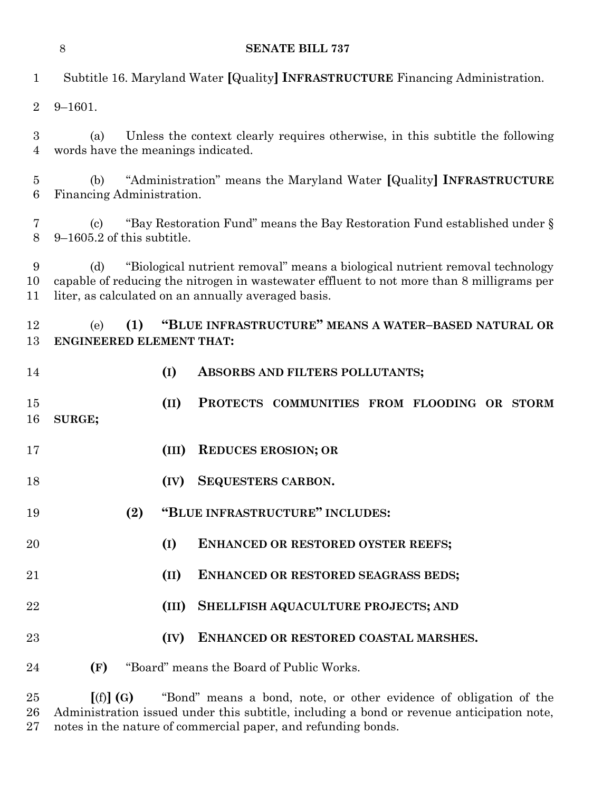**SENATE BILL 737** Subtitle 16. Maryland Water **[**Quality**] INFRASTRUCTURE** Financing Administration. 9–1601. (a) Unless the context clearly requires otherwise, in this subtitle the following words have the meanings indicated. (b) "Administration" means the Maryland Water **[**Quality**] INFRASTRUCTURE** Financing Administration. (c) "Bay Restoration Fund" means the Bay Restoration Fund established under § 9–1605.2 of this subtitle. (d) "Biological nutrient removal" means a biological nutrient removal technology capable of reducing the nitrogen in wastewater effluent to not more than 8 milligrams per liter, as calculated on an annually averaged basis. (e) **(1) "BLUE INFRASTRUCTURE" MEANS A WATER–BASED NATURAL OR ENGINEERED ELEMENT THAT: (I) ABSORBS AND FILTERS POLLUTANTS; (II) PROTECTS COMMUNITIES FROM FLOODING OR STORM SURGE; (III) REDUCES EROSION; OR (IV) SEQUESTERS CARBON. (2) "BLUE INFRASTRUCTURE" INCLUDES: (I) ENHANCED OR RESTORED OYSTER REEFS; (II) ENHANCED OR RESTORED SEAGRASS BEDS; (III) SHELLFISH AQUACULTURE PROJECTS; AND (IV) ENHANCED OR RESTORED COASTAL MARSHES.**

**(F)** "Board" means the Board of Public Works.

 **[**(f)**] (G)** "Bond" means a bond, note, or other evidence of obligation of the Administration issued under this subtitle, including a bond or revenue anticipation note, notes in the nature of commercial paper, and refunding bonds.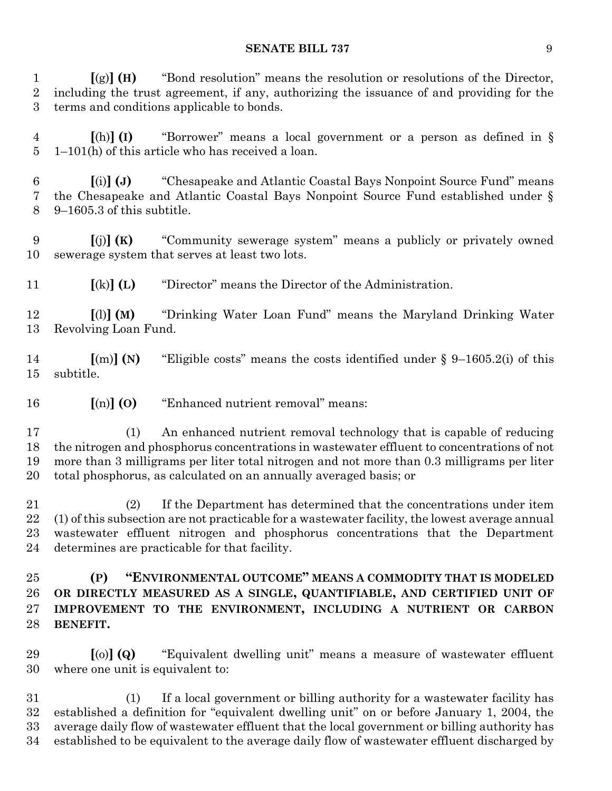**[**(g)**] (H)** "Bond resolution" means the resolution or resolutions of the Director, including the trust agreement, if any, authorizing the issuance of and providing for the terms and conditions applicable to bonds.

 **[**(h)**] (I)** "Borrower" means a local government or a person as defined in § 1–101(h) of this article who has received a loan.

 **[**(i)**] (J)** "Chesapeake and Atlantic Coastal Bays Nonpoint Source Fund" means the Chesapeake and Atlantic Coastal Bays Nonpoint Source Fund established under § 9–1605.3 of this subtitle.

 **[**(j)**] (K)** "Community sewerage system" means a publicly or privately owned sewerage system that serves at least two lots.

**[**(k)**] (L)** "Director" means the Director of the Administration.

 **[**(l)**] (M)** "Drinking Water Loan Fund" means the Maryland Drinking Water Revolving Loan Fund.

 **[**(m)**] (N)** "Eligible costs" means the costs identified under § 9–1605.2(i) of this subtitle.

**[**(n)**] (O)** "Enhanced nutrient removal" means:

 (1) An enhanced nutrient removal technology that is capable of reducing the nitrogen and phosphorus concentrations in wastewater effluent to concentrations of not more than 3 milligrams per liter total nitrogen and not more than 0.3 milligrams per liter total phosphorus, as calculated on an annually averaged basis; or

 (2) If the Department has determined that the concentrations under item (1) of this subsection are not practicable for a wastewater facility, the lowest average annual wastewater effluent nitrogen and phosphorus concentrations that the Department determines are practicable for that facility.

 **(P) "ENVIRONMENTAL OUTCOME" MEANS A COMMODITY THAT IS MODELED OR DIRECTLY MEASURED AS A SINGLE, QUANTIFIABLE, AND CERTIFIED UNIT OF IMPROVEMENT TO THE ENVIRONMENT, INCLUDING A NUTRIENT OR CARBON BENEFIT.**

 **[**(o)**] (Q)** "Equivalent dwelling unit" means a measure of wastewater effluent where one unit is equivalent to:

 (1) If a local government or billing authority for a wastewater facility has established a definition for "equivalent dwelling unit" on or before January 1, 2004, the average daily flow of wastewater effluent that the local government or billing authority has established to be equivalent to the average daily flow of wastewater effluent discharged by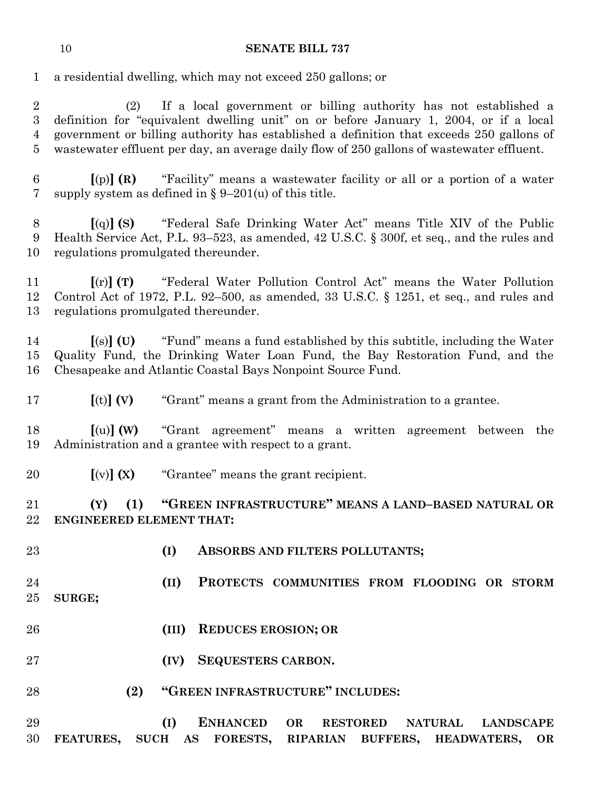a residential dwelling, which may not exceed 250 gallons; or

 (2) If a local government or billing authority has not established a definition for "equivalent dwelling unit" on or before January 1, 2004, or if a local government or billing authority has established a definition that exceeds 250 gallons of wastewater effluent per day, an average daily flow of 250 gallons of wastewater effluent.

 **[**(p)**] (R)** "Facility" means a wastewater facility or all or a portion of a water supply system as defined in § 9–201(u) of this title.

 **[**(q)**] (S)** "Federal Safe Drinking Water Act" means Title XIV of the Public Health Service Act, P.L. 93–523, as amended, 42 U.S.C. § 300f, et seq., and the rules and regulations promulgated thereunder.

 **[**(r)**] (T)** "Federal Water Pollution Control Act" means the Water Pollution Control Act of 1972, P.L. 92–500, as amended, 33 U.S.C. § 1251, et seq., and rules and regulations promulgated thereunder.

 **[**(s)**] (U)** "Fund" means a fund established by this subtitle, including the Water Quality Fund, the Drinking Water Loan Fund, the Bay Restoration Fund, and the Chesapeake and Atlantic Coastal Bays Nonpoint Source Fund.

**[**(t)**] (V)** "Grant" means a grant from the Administration to a grantee.

 **[**(u)**] (W)** "Grant agreement" means a written agreement between the Administration and a grantee with respect to a grant.

**[**(v)**] (X)** "Grantee" means the grant recipient.

 **(Y) (1) "GREEN INFRASTRUCTURE" MEANS A LAND–BASED NATURAL OR ENGINEERED ELEMENT THAT:**

- 
- **(I) ABSORBS AND FILTERS POLLUTANTS;**
- **(II) PROTECTS COMMUNITIES FROM FLOODING OR STORM SURGE;**
- **(III) REDUCES EROSION; OR**
- **(IV) SEQUESTERS CARBON.**
- **(2) "GREEN INFRASTRUCTURE" INCLUDES:**

 **(I) ENHANCED OR RESTORED NATURAL LANDSCAPE FEATURES, SUCH AS FORESTS, RIPARIAN BUFFERS, HEADWATERS, OR**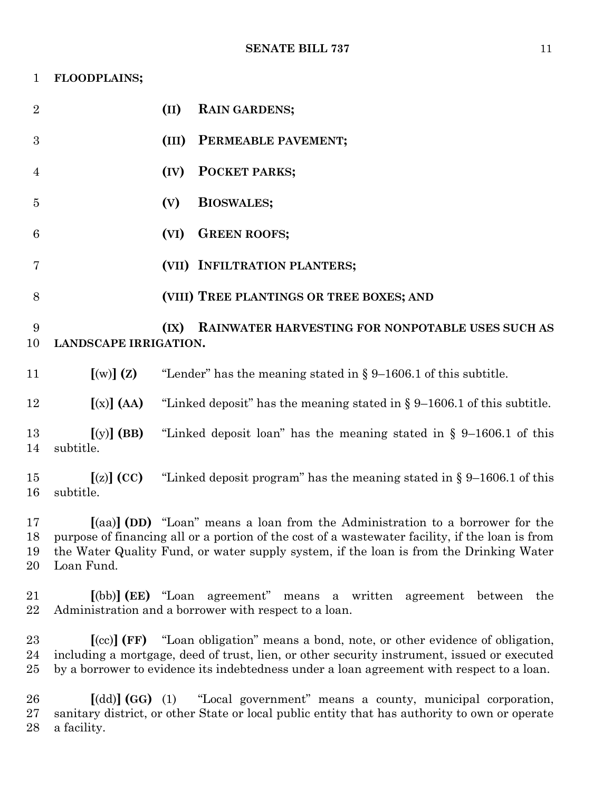| 1                    | FLOODPLAINS;              |                                                                                                                                                                                                                                                                                |
|----------------------|---------------------------|--------------------------------------------------------------------------------------------------------------------------------------------------------------------------------------------------------------------------------------------------------------------------------|
| $\overline{2}$       |                           | (II)<br><b>RAIN GARDENS;</b>                                                                                                                                                                                                                                                   |
| 3                    |                           | (III)<br>PERMEABLE PAVEMENT;                                                                                                                                                                                                                                                   |
| 4                    |                           | POCKET PARKS;<br>(IV)                                                                                                                                                                                                                                                          |
| $\overline{5}$       |                           | <b>BIOSWALES;</b><br>(V)                                                                                                                                                                                                                                                       |
| 6                    |                           | <b>GREEN ROOFS;</b><br>(VI)                                                                                                                                                                                                                                                    |
| 7                    |                           | (VII) INFILTRATION PLANTERS;                                                                                                                                                                                                                                                   |
| 8                    |                           | (VIII) TREE PLANTINGS OR TREE BOXES; AND                                                                                                                                                                                                                                       |
| 9<br>10              | LANDSCAPE IRRIGATION.     | RAINWATER HARVESTING FOR NONPOTABLE USES SUCH AS<br>(IX)                                                                                                                                                                                                                       |
| 11                   | [(w)](z)                  | "Lender" has the meaning stated in $\S 9$ –1606.1 of this subtitle.                                                                                                                                                                                                            |
| 12                   | $[(x)]$ (AA)              | "Linked deposit" has the meaning stated in $\S 9-1606.1$ of this subtitle.                                                                                                                                                                                                     |
| 13<br>14             | $[(y)]$ (BB)<br>subtitle. | "Linked deposit loan" has the meaning stated in $\S$ 9-1606.1 of this                                                                                                                                                                                                          |
| 15<br>16             | $[(z)]$ (CC)<br>subtitle. | "Linked deposit program" has the meaning stated in $\S 9-1606.1$ of this                                                                                                                                                                                                       |
| 17<br>18<br>19<br>20 | Loan Fund.                | [(aa)] (DD) "Loan" means a loan from the Administration to a borrower for the<br>purpose of financing all or a portion of the cost of a wastewater facility, if the loan is from<br>the Water Quality Fund, or water supply system, if the loan is from the Drinking Water     |
| 21<br>22             |                           | $\lceil$ (bb)] (EE) "Loan agreement"<br>means a written agreement between<br>the<br>Administration and a borrower with respect to a loan.                                                                                                                                      |
| 23<br>24<br>25       |                           | [(cc)] (FF) "Loan obligation" means a bond, note, or other evidence of obligation,<br>including a mortgage, deed of trust, lien, or other security instrument, issued or executed<br>by a borrower to evidence its indebtedness under a loan agreement with respect to a loan. |
| 26<br>27<br>28       | a facility.               | $\lceil (dd) \rceil (GG)$ (1) "Local government" means a county, municipal corporation,<br>sanitary district, or other State or local public entity that has authority to own or operate                                                                                       |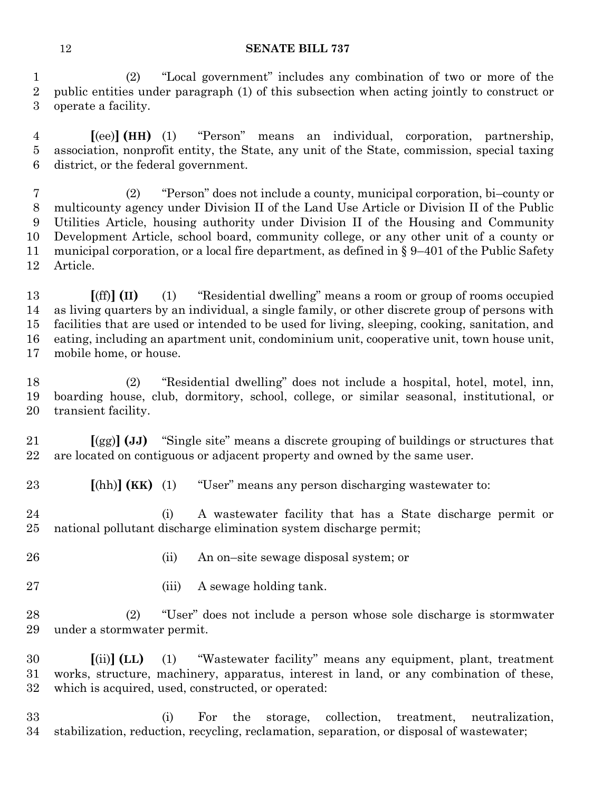(2) "Local government" includes any combination of two or more of the public entities under paragraph (1) of this subsection when acting jointly to construct or operate a facility.

 **[**(ee)**] (HH)** (1) "Person" means an individual, corporation, partnership, association, nonprofit entity, the State, any unit of the State, commission, special taxing district, or the federal government.

 (2) "Person" does not include a county, municipal corporation, bi–county or multicounty agency under Division II of the Land Use Article or Division II of the Public Utilities Article, housing authority under Division II of the Housing and Community Development Article, school board, community college, or any other unit of a county or municipal corporation, or a local fire department, as defined in § 9–401 of the Public Safety Article.

 **[**(ff)**] (II)** (1) "Residential dwelling" means a room or group of rooms occupied as living quarters by an individual, a single family, or other discrete group of persons with facilities that are used or intended to be used for living, sleeping, cooking, sanitation, and eating, including an apartment unit, condominium unit, cooperative unit, town house unit, mobile home, or house.

 (2) "Residential dwelling" does not include a hospital, hotel, motel, inn, boarding house, club, dormitory, school, college, or similar seasonal, institutional, or transient facility.

 **[**(gg)**] (JJ)** "Single site" means a discrete grouping of buildings or structures that are located on contiguous or adjacent property and owned by the same user.

**[**(hh)**] (KK)** (1) "User" means any person discharging wastewater to:

 (i) A wastewater facility that has a State discharge permit or national pollutant discharge elimination system discharge permit;

(ii) An on–site sewage disposal system; or

27 (iii) A sewage holding tank.

 (2) "User" does not include a person whose sole discharge is stormwater under a stormwater permit.

 **[**(ii)**] (LL)** (1) "Wastewater facility" means any equipment, plant, treatment works, structure, machinery, apparatus, interest in land, or any combination of these, which is acquired, used, constructed, or operated:

 (i) For the storage, collection, treatment, neutralization, stabilization, reduction, recycling, reclamation, separation, or disposal of wastewater;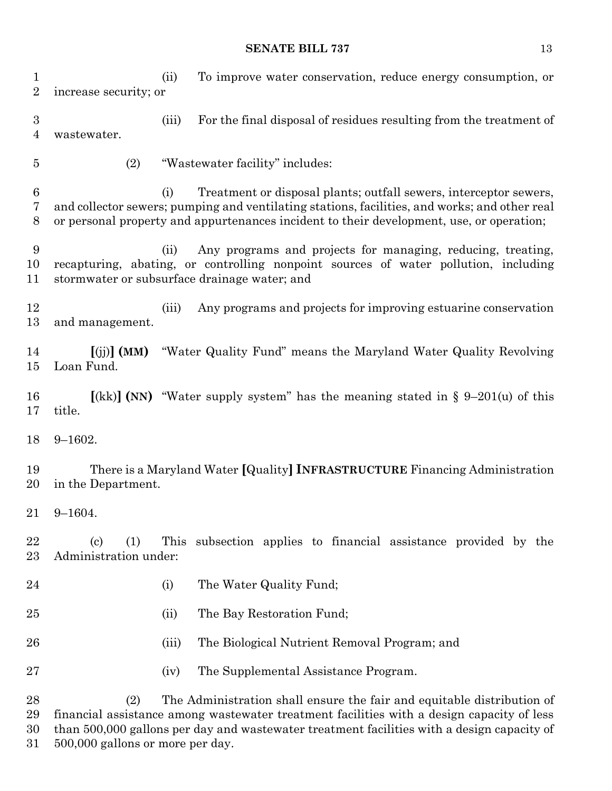(ii) To improve water conservation, reduce energy consumption, or increase security; or

 (iii) For the final disposal of residues resulting from the treatment of wastewater.

(2) "Wastewater facility" includes:

 (i) Treatment or disposal plants; outfall sewers, interceptor sewers, and collector sewers; pumping and ventilating stations, facilities, and works; and other real or personal property and appurtenances incident to their development, use, or operation;

 (ii) Any programs and projects for managing, reducing, treating, recapturing, abating, or controlling nonpoint sources of water pollution, including stormwater or subsurface drainage water; and

 (iii) Any programs and projects for improving estuarine conservation and management.

 **[**(jj)**] (MM)** "Water Quality Fund" means the Maryland Water Quality Revolving Loan Fund.

 **[**(kk)**] (NN)** "Water supply system" has the meaning stated in § 9–201(u) of this title.

9–1602.

 There is a Maryland Water **[**Quality**] INFRASTRUCTURE** Financing Administration in the Department.

9–1604.

 (c) (1) This subsection applies to financial assistance provided by the Administration under:

- 24 (i) The Water Quality Fund;
- (ii) The Bay Restoration Fund;
- (iii) The Biological Nutrient Removal Program; and
- (iv) The Supplemental Assistance Program.

 (2) The Administration shall ensure the fair and equitable distribution of financial assistance among wastewater treatment facilities with a design capacity of less than 500,000 gallons per day and wastewater treatment facilities with a design capacity of 500,000 gallons or more per day.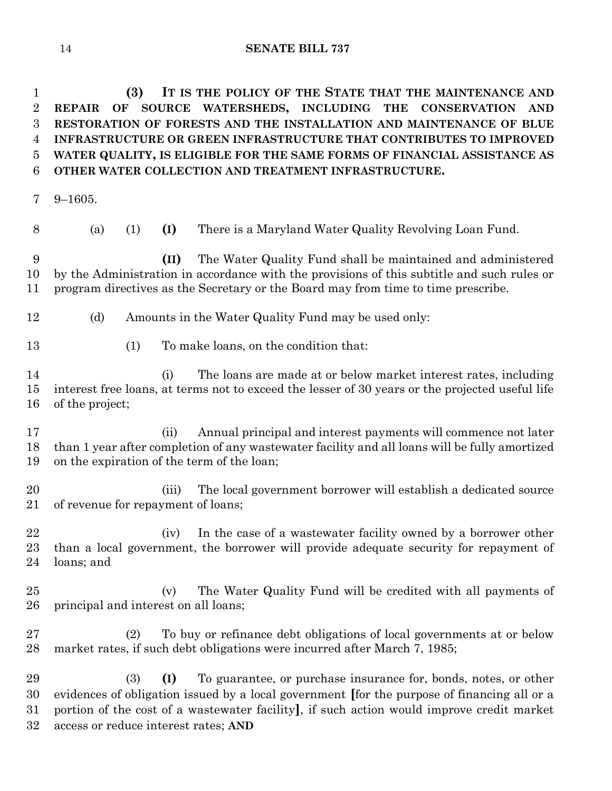**(3) IT IS THE POLICY OF THE STATE THAT THE MAINTENANCE AND REPAIR OF SOURCE WATERSHEDS, INCLUDING THE CONSERVATION AND RESTORATION OF FORESTS AND THE INSTALLATION AND MAINTENANCE OF BLUE INFRASTRUCTURE OR GREEN INFRASTRUCTURE THAT CONTRIBUTES TO IMPROVED WATER QUALITY, IS ELIGIBLE FOR THE SAME FORMS OF FINANCIAL ASSISTANCE AS OTHER WATER COLLECTION AND TREATMENT INFRASTRUCTURE.**

9–1605.

(a) (1) **(I)** There is a Maryland Water Quality Revolving Loan Fund.

 **(II)** The Water Quality Fund shall be maintained and administered by the Administration in accordance with the provisions of this subtitle and such rules or program directives as the Secretary or the Board may from time to time prescribe.

- 12 (d) Amounts in the Water Quality Fund may be used only:
- (1) To make loans, on the condition that:

 (i) The loans are made at or below market interest rates, including interest free loans, at terms not to exceed the lesser of 30 years or the projected useful life of the project;

 (ii) Annual principal and interest payments will commence not later than 1 year after completion of any wastewater facility and all loans will be fully amortized on the expiration of the term of the loan;

 (iii) The local government borrower will establish a dedicated source of revenue for repayment of loans;

22 (iv) In the case of a wastewater facility owned by a borrower other than a local government, the borrower will provide adequate security for repayment of loans; and

 (v) The Water Quality Fund will be credited with all payments of principal and interest on all loans;

 (2) To buy or refinance debt obligations of local governments at or below market rates, if such debt obligations were incurred after March 7, 1985;

 (3) **(I)** To guarantee, or purchase insurance for, bonds, notes, or other evidences of obligation issued by a local government **[**for the purpose of financing all or a portion of the cost of a wastewater facility**]**, if such action would improve credit market access or reduce interest rates; **AND**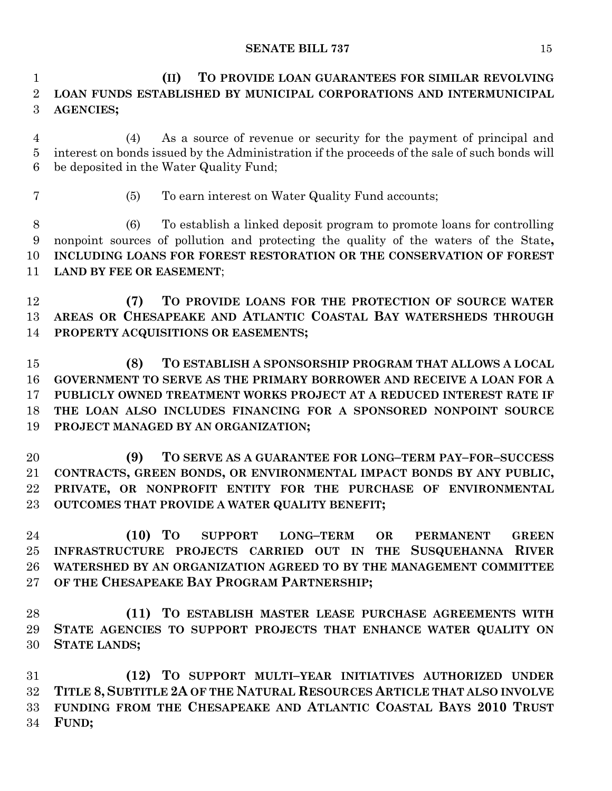**(II) TO PROVIDE LOAN GUARANTEES FOR SIMILAR REVOLVING LOAN FUNDS ESTABLISHED BY MUNICIPAL CORPORATIONS AND INTERMUNICIPAL AGENCIES;**

 (4) As a source of revenue or security for the payment of principal and interest on bonds issued by the Administration if the proceeds of the sale of such bonds will be deposited in the Water Quality Fund;

(5) To earn interest on Water Quality Fund accounts;

 (6) To establish a linked deposit program to promote loans for controlling nonpoint sources of pollution and protecting the quality of the waters of the State**, INCLUDING LOANS FOR FOREST RESTORATION OR THE CONSERVATION OF FOREST LAND BY FEE OR EASEMENT**;

 **(7) TO PROVIDE LOANS FOR THE PROTECTION OF SOURCE WATER AREAS OR CHESAPEAKE AND ATLANTIC COASTAL BAY WATERSHEDS THROUGH PROPERTY ACQUISITIONS OR EASEMENTS;**

 **(8) TO ESTABLISH A SPONSORSHIP PROGRAM THAT ALLOWS A LOCAL GOVERNMENT TO SERVE AS THE PRIMARY BORROWER AND RECEIVE A LOAN FOR A PUBLICLY OWNED TREATMENT WORKS PROJECT AT A REDUCED INTEREST RATE IF THE LOAN ALSO INCLUDES FINANCING FOR A SPONSORED NONPOINT SOURCE PROJECT MANAGED BY AN ORGANIZATION;**

 **(9) TO SERVE AS A GUARANTEE FOR LONG–TERM PAY–FOR–SUCCESS CONTRACTS, GREEN BONDS, OR ENVIRONMENTAL IMPACT BONDS BY ANY PUBLIC, PRIVATE, OR NONPROFIT ENTITY FOR THE PURCHASE OF ENVIRONMENTAL OUTCOMES THAT PROVIDE A WATER QUALITY BENEFIT;**

 **(10) TO SUPPORT LONG–TERM OR PERMANENT GREEN INFRASTRUCTURE PROJECTS CARRIED OUT IN THE SUSQUEHANNA RIVER WATERSHED BY AN ORGANIZATION AGREED TO BY THE MANAGEMENT COMMITTEE OF THE CHESAPEAKE BAY PROGRAM PARTNERSHIP;**

 **(11) TO ESTABLISH MASTER LEASE PURCHASE AGREEMENTS WITH STATE AGENCIES TO SUPPORT PROJECTS THAT ENHANCE WATER QUALITY ON STATE LANDS;**

 **(12) TO SUPPORT MULTI–YEAR INITIATIVES AUTHORIZED UNDER TITLE 8, SUBTITLE 2A OF THE NATURAL RESOURCES ARTICLE THAT ALSO INVOLVE FUNDING FROM THE CHESAPEAKE AND ATLANTIC COASTAL BAYS 2010 TRUST FUND;**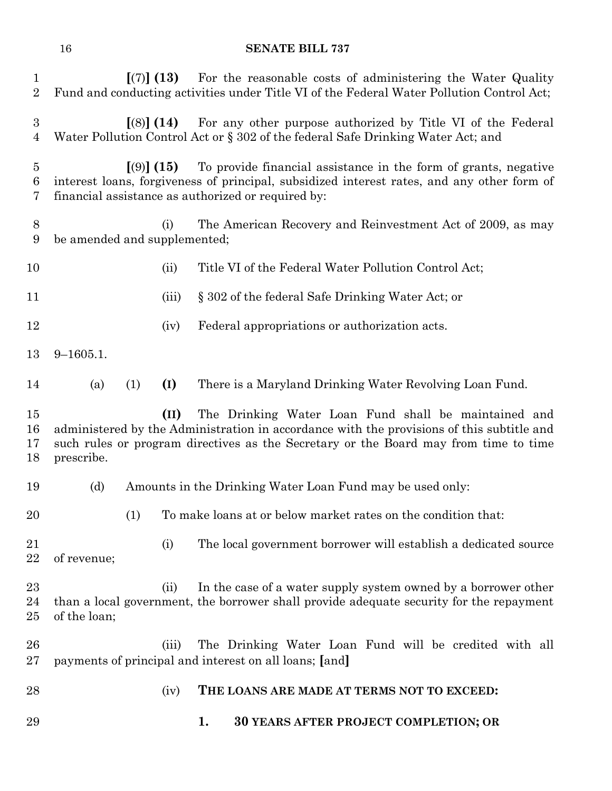| $\mathbf 1$<br>$\overline{2}$      |                                                                                                                                                               | [(7)] (13)   | For the reasonable costs of administering the Water Quality<br>Fund and conducting activities under Title VI of the Federal Water Pollution Control Act;                                                                                  |  |  |  |  |  |
|------------------------------------|---------------------------------------------------------------------------------------------------------------------------------------------------------------|--------------|-------------------------------------------------------------------------------------------------------------------------------------------------------------------------------------------------------------------------------------------|--|--|--|--|--|
| $\boldsymbol{3}$<br>$\overline{4}$ | For any other purpose authorized by Title VI of the Federal<br>$(8)$ (14)<br>Water Pollution Control Act or § 302 of the federal Safe Drinking Water Act; and |              |                                                                                                                                                                                                                                           |  |  |  |  |  |
| $\overline{5}$<br>6<br>7           |                                                                                                                                                               | [ (9) ] (15) | To provide financial assistance in the form of grants, negative<br>interest loans, forgiveness of principal, subsidized interest rates, and any other form of<br>financial assistance as authorized or required by:                       |  |  |  |  |  |
| 8<br>9                             | be amended and supplemented;                                                                                                                                  | (i)          | The American Recovery and Reinvestment Act of 2009, as may                                                                                                                                                                                |  |  |  |  |  |
| 10                                 |                                                                                                                                                               | (ii)         | Title VI of the Federal Water Pollution Control Act;                                                                                                                                                                                      |  |  |  |  |  |
| 11                                 |                                                                                                                                                               | (iii)        | § 302 of the federal Safe Drinking Water Act; or                                                                                                                                                                                          |  |  |  |  |  |
| 12                                 |                                                                                                                                                               | (iv)         | Federal appropriations or authorization acts.                                                                                                                                                                                             |  |  |  |  |  |
| 13                                 | $9 - 1605.1.$                                                                                                                                                 |              |                                                                                                                                                                                                                                           |  |  |  |  |  |
| 14                                 | (a)<br>(1)                                                                                                                                                    | (I)          | There is a Maryland Drinking Water Revolving Loan Fund.                                                                                                                                                                                   |  |  |  |  |  |
| 15<br>16<br>17<br>18               | prescribe.                                                                                                                                                    | (II)         | The Drinking Water Loan Fund shall be maintained and<br>administered by the Administration in accordance with the provisions of this subtitle and<br>such rules or program directives as the Secretary or the Board may from time to time |  |  |  |  |  |
| 19                                 | (d)                                                                                                                                                           |              | Amounts in the Drinking Water Loan Fund may be used only:                                                                                                                                                                                 |  |  |  |  |  |
| 20                                 |                                                                                                                                                               | (1)          | To make loans at or below market rates on the condition that:                                                                                                                                                                             |  |  |  |  |  |
| 21<br>22                           | of revenue;                                                                                                                                                   | (i)          | The local government borrower will establish a dedicated source                                                                                                                                                                           |  |  |  |  |  |
| 23<br>24<br>25                     | of the loan;                                                                                                                                                  | (ii)         | In the case of a water supply system owned by a borrower other<br>than a local government, the borrower shall provide adequate security for the repayment                                                                                 |  |  |  |  |  |
| 26<br>$27\,$                       |                                                                                                                                                               | (iii)        | The Drinking Water Loan Fund will be credited with all<br>payments of principal and interest on all loans; [and]                                                                                                                          |  |  |  |  |  |
| 28                                 |                                                                                                                                                               |              |                                                                                                                                                                                                                                           |  |  |  |  |  |
|                                    |                                                                                                                                                               | (iv)         | THE LOANS ARE MADE AT TERMS NOT TO EXCEED:                                                                                                                                                                                                |  |  |  |  |  |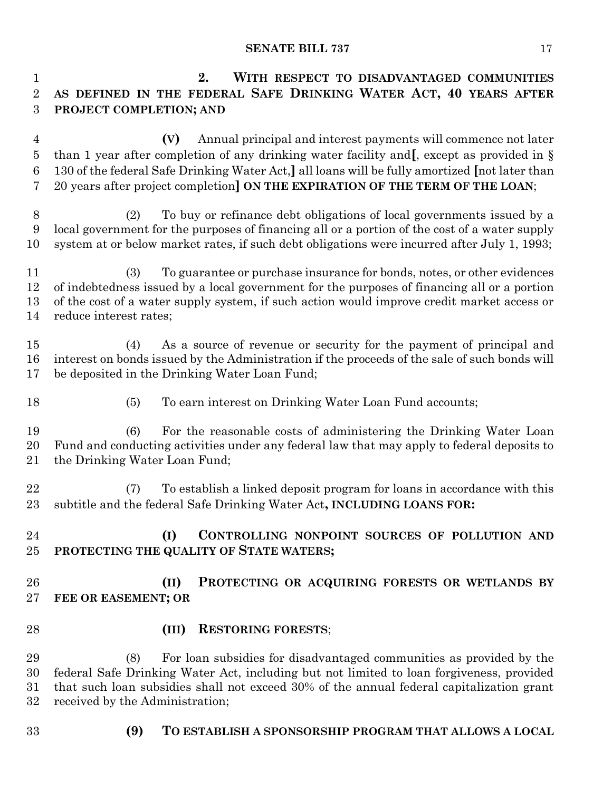**2. WITH RESPECT TO DISADVANTAGED COMMUNITIES AS DEFINED IN THE FEDERAL SAFE DRINKING WATER ACT, 40 YEARS AFTER PROJECT COMPLETION; AND (V)** Annual principal and interest payments will commence not later than 1 year after completion of any drinking water facility and**[**, except as provided in § 130 of the federal Safe Drinking Water Act,**]** all loans will be fully amortized **[**not later than 20 years after project completion**] ON THE EXPIRATION OF THE TERM OF THE LOAN**; (2) To buy or refinance debt obligations of local governments issued by a local government for the purposes of financing all or a portion of the cost of a water supply system at or below market rates, if such debt obligations were incurred after July 1, 1993; (3) To guarantee or purchase insurance for bonds, notes, or other evidences of indebtedness issued by a local government for the purposes of financing all or a portion of the cost of a water supply system, if such action would improve credit market access or reduce interest rates; (4) As a source of revenue or security for the payment of principal and interest on bonds issued by the Administration if the proceeds of the sale of such bonds will be deposited in the Drinking Water Loan Fund; 18 (5) To earn interest on Drinking Water Loan Fund accounts; (6) For the reasonable costs of administering the Drinking Water Loan Fund and conducting activities under any federal law that may apply to federal deposits to the Drinking Water Loan Fund; (7) To establish a linked deposit program for loans in accordance with this subtitle and the federal Safe Drinking Water Act**, INCLUDING LOANS FOR: (I) CONTROLLING NONPOINT SOURCES OF POLLUTION AND PROTECTING THE QUALITY OF STATE WATERS; (II) PROTECTING OR ACQUIRING FORESTS OR WETLANDS BY FEE OR EASEMENT; OR (III) RESTORING FORESTS**; (8) For loan subsidies for disadvantaged communities as provided by the federal Safe Drinking Water Act, including but not limited to loan forgiveness, provided that such loan subsidies shall not exceed 30% of the annual federal capitalization grant received by the Administration; **(9) TO ESTABLISH A SPONSORSHIP PROGRAM THAT ALLOWS A LOCAL**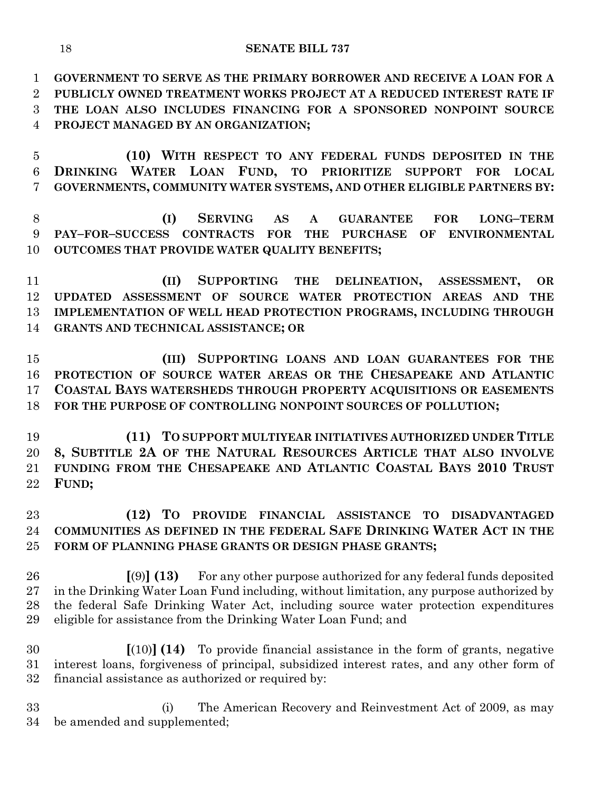**GOVERNMENT TO SERVE AS THE PRIMARY BORROWER AND RECEIVE A LOAN FOR A PUBLICLY OWNED TREATMENT WORKS PROJECT AT A REDUCED INTEREST RATE IF THE LOAN ALSO INCLUDES FINANCING FOR A SPONSORED NONPOINT SOURCE PROJECT MANAGED BY AN ORGANIZATION;**

 **(10) WITH RESPECT TO ANY FEDERAL FUNDS DEPOSITED IN THE DRINKING WATER LOAN FUND, TO PRIORITIZE SUPPORT FOR LOCAL GOVERNMENTS, COMMUNITY WATER SYSTEMS, AND OTHER ELIGIBLE PARTNERS BY:**

 **(I) SERVING AS A GUARANTEE FOR LONG–TERM PAY–FOR–SUCCESS CONTRACTS FOR THE PURCHASE OF ENVIRONMENTAL OUTCOMES THAT PROVIDE WATER QUALITY BENEFITS;**

 **(II) SUPPORTING THE DELINEATION, ASSESSMENT, OR UPDATED ASSESSMENT OF SOURCE WATER PROTECTION AREAS AND THE IMPLEMENTATION OF WELL HEAD PROTECTION PROGRAMS, INCLUDING THROUGH GRANTS AND TECHNICAL ASSISTANCE; OR**

 **(III) SUPPORTING LOANS AND LOAN GUARANTEES FOR THE PROTECTION OF SOURCE WATER AREAS OR THE CHESAPEAKE AND ATLANTIC COASTAL BAYS WATERSHEDS THROUGH PROPERTY ACQUISITIONS OR EASEMENTS FOR THE PURPOSE OF CONTROLLING NONPOINT SOURCES OF POLLUTION;**

 **(11) TO SUPPORT MULTIYEAR INITIATIVES AUTHORIZED UNDER TITLE 8, SUBTITLE 2A OF THE NATURAL RESOURCES ARTICLE THAT ALSO INVOLVE FUNDING FROM THE CHESAPEAKE AND ATLANTIC COASTAL BAYS 2010 TRUST FUND;**

# **(12) TO PROVIDE FINANCIAL ASSISTANCE TO DISADVANTAGED COMMUNITIES AS DEFINED IN THE FEDERAL SAFE DRINKING WATER ACT IN THE FORM OF PLANNING PHASE GRANTS OR DESIGN PHASE GRANTS;**

 **[**(9)**] (13)** For any other purpose authorized for any federal funds deposited in the Drinking Water Loan Fund including, without limitation, any purpose authorized by the federal Safe Drinking Water Act, including source water protection expenditures eligible for assistance from the Drinking Water Loan Fund; and

 **[**(10)**] (14)** To provide financial assistance in the form of grants, negative interest loans, forgiveness of principal, subsidized interest rates, and any other form of financial assistance as authorized or required by:

 (i) The American Recovery and Reinvestment Act of 2009, as may be amended and supplemented;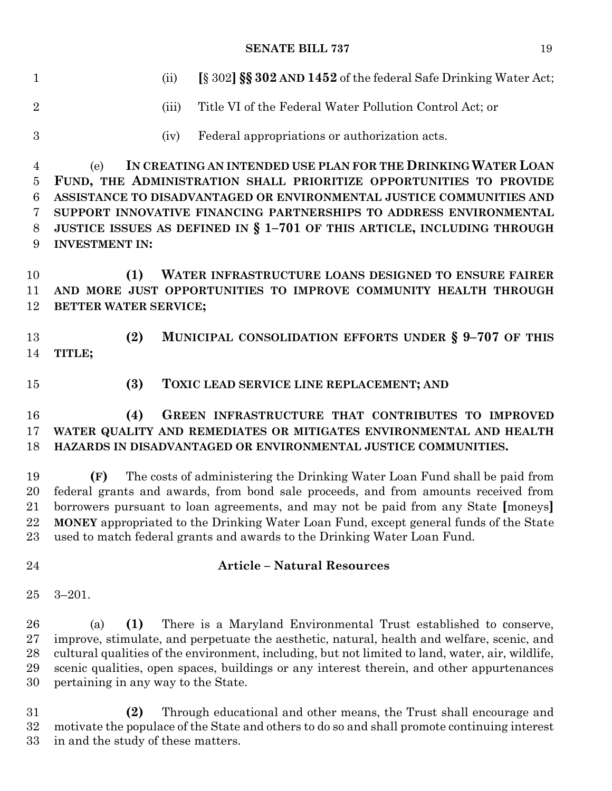| $\mathbf{1}$                     | [§ 302] <b>\$\$ 302 AND 1452</b> of the federal Safe Drinking Water Act;<br>(ii)                                                          |
|----------------------------------|-------------------------------------------------------------------------------------------------------------------------------------------|
| $\overline{2}$                   | Title VI of the Federal Water Pollution Control Act; or<br>(iii)                                                                          |
| 3                                | Federal appropriations or authorization acts.<br>(iv)                                                                                     |
| $\overline{4}$<br>$\overline{5}$ | IN CREATING AN INTENDED USE PLAN FOR THE DRINKING WATER LOAN<br>(e)<br>FUND, THE ADMINISTRATION SHALL PRIORITIZE OPPORTUNITIES TO PROVIDE |
| 6                                | ASSISTANCE TO DISADVANTAGED OR ENVIRONMENTAL JUSTICE COMMUNITIES AND                                                                      |
| 7                                | SUPPORT INNOVATIVE FINANCING PARTNERSHIPS TO ADDRESS ENVIRONMENTAL                                                                        |
| 8                                | JUSTICE ISSUES AS DEFINED IN § 1-701 OF THIS ARTICLE, INCLUDING THROUGH                                                                   |
| 9                                | <b>INVESTMENT IN:</b>                                                                                                                     |
|                                  |                                                                                                                                           |
| 10                               | WATER INFRASTRUCTURE LOANS DESIGNED TO ENSURE FAIRER<br>(1)                                                                               |
| 11                               | AND MORE JUST OPPORTUNITIES TO IMPROVE COMMUNITY HEALTH THROUGH                                                                           |
| 12                               | BETTER WATER SERVICE;                                                                                                                     |
|                                  |                                                                                                                                           |
| 13                               | MUNICIPAL CONSOLIDATION EFFORTS UNDER § 9-707 OF THIS<br>(2)                                                                              |
| 14                               | TITLE;                                                                                                                                    |
| 15                               | (3)<br>TOXIC LEAD SERVICE LINE REPLACEMENT; AND                                                                                           |
| 16                               | GREEN INFRASTRUCTURE THAT CONTRIBUTES TO IMPROVED<br>(4)                                                                                  |
| 17                               | WATER QUALITY AND REMEDIATES OR MITIGATES ENVIRONMENTAL AND HEALTH                                                                        |
| 18                               | HAZARDS IN DISADVANTAGED OR ENVIRONMENTAL JUSTICE COMMUNITIES.                                                                            |
|                                  |                                                                                                                                           |
| 19                               | The costs of administering the Drinking Water Loan Fund shall be paid from<br>(F)                                                         |
| 20                               | federal grants and awards, from bond sale proceeds, and from amounts received from                                                        |
| 21                               | borrowers pursuant to loan agreements, and may not be paid from any State [moneys]                                                        |
| 22                               | <b>MONEY</b> appropriated to the Drinking Water Loan Fund, except general funds of the State                                              |

used to match federal grants and awards to the Drinking Water Loan Fund.

# **Article – Natural Resources**

3–201.

 (a) **(1)** There is a Maryland Environmental Trust established to conserve, improve, stimulate, and perpetuate the aesthetic, natural, health and welfare, scenic, and cultural qualities of the environment, including, but not limited to land, water, air, wildlife, scenic qualities, open spaces, buildings or any interest therein, and other appurtenances pertaining in any way to the State.

 **(2)** Through educational and other means, the Trust shall encourage and motivate the populace of the State and others to do so and shall promote continuing interest in and the study of these matters.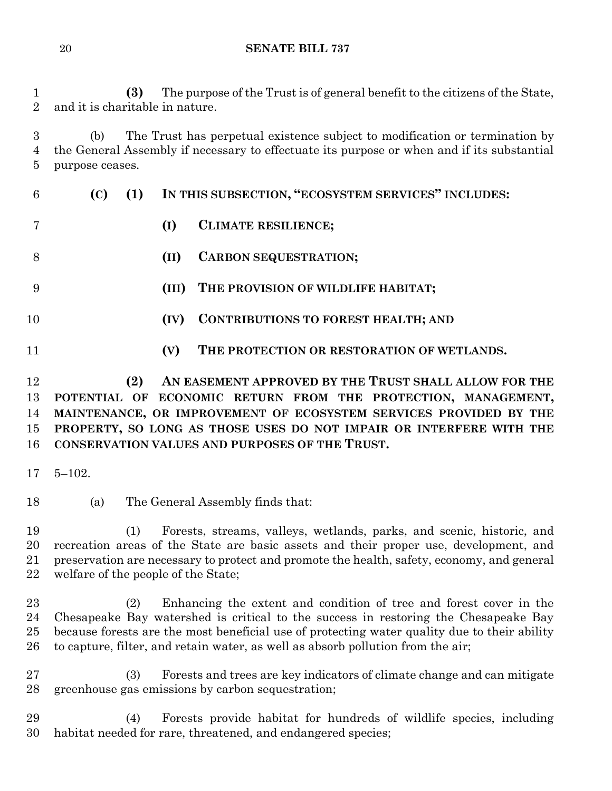**(3)** The purpose of the Trust is of general benefit to the citizens of the State, and it is charitable in nature.

 (b) The Trust has perpetual existence subject to modification or termination by the General Assembly if necessary to effectuate its purpose or when and if its substantial purpose ceases.

| 6  | (C) | (1) |       | IN THIS SUBSECTION, "ECOSYSTEM SERVICES" INCLUDES: |
|----|-----|-----|-------|----------------------------------------------------|
|    |     |     | (I)   | <b>CLIMATE RESILIENCE;</b>                         |
| 8  |     |     | (II)  | <b>CARBON SEQUESTRATION;</b>                       |
| 9  |     |     | (III) | THE PROVISION OF WILDLIFE HABITAT;                 |
| 10 |     |     | (IV)  | <b>CONTRIBUTIONS TO FOREST HEALTH; AND</b>         |
| 11 |     |     | (V)   | THE PROTECTION OR RESTORATION OF WETLANDS.         |
|    |     |     |       |                                                    |

 **(2) AN EASEMENT APPROVED BY THE TRUST SHALL ALLOW FOR THE POTENTIAL OF ECONOMIC RETURN FROM THE PROTECTION, MANAGEMENT, MAINTENANCE, OR IMPROVEMENT OF ECOSYSTEM SERVICES PROVIDED BY THE PROPERTY, SO LONG AS THOSE USES DO NOT IMPAIR OR INTERFERE WITH THE CONSERVATION VALUES AND PURPOSES OF THE TRUST.**

5–102.

(a) The General Assembly finds that:

 (1) Forests, streams, valleys, wetlands, parks, and scenic, historic, and recreation areas of the State are basic assets and their proper use, development, and preservation are necessary to protect and promote the health, safety, economy, and general welfare of the people of the State;

 (2) Enhancing the extent and condition of tree and forest cover in the Chesapeake Bay watershed is critical to the success in restoring the Chesapeake Bay because forests are the most beneficial use of protecting water quality due to their ability to capture, filter, and retain water, as well as absorb pollution from the air;

 (3) Forests and trees are key indicators of climate change and can mitigate greenhouse gas emissions by carbon sequestration;

 (4) Forests provide habitat for hundreds of wildlife species, including habitat needed for rare, threatened, and endangered species;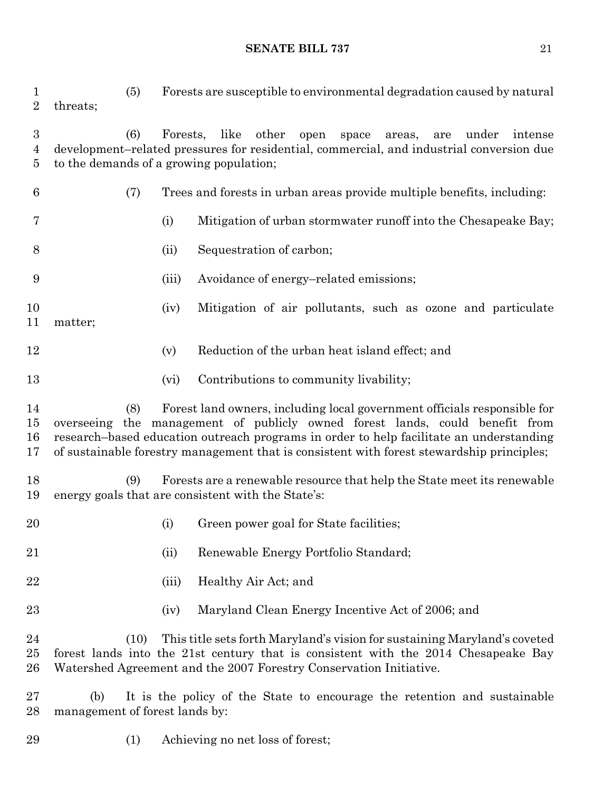(5) Forests are susceptible to environmental degradation caused by natural threats; (6) Forests, like other open space areas, are under intense development–related pressures for residential, commercial, and industrial conversion due to the demands of a growing population; (7) Trees and forests in urban areas provide multiple benefits, including: (i) Mitigation of urban stormwater runoff into the Chesapeake Bay; (ii) Sequestration of carbon; (iii) Avoidance of energy–related emissions; (iv) Mitigation of air pollutants, such as ozone and particulate matter; 12 (v) Reduction of the urban heat island effect; and (vi) Contributions to community livability; (8) Forest land owners, including local government officials responsible for overseeing the management of publicly owned forest lands, could benefit from research–based education outreach programs in order to help facilitate an understanding of sustainable forestry management that is consistent with forest stewardship principles; (9) Forests are a renewable resource that help the State meet its renewable energy goals that are consistent with the State's: 20 (i) Green power goal for State facilities; (ii) Renewable Energy Portfolio Standard; (iii) Healthy Air Act; and (iv) Maryland Clean Energy Incentive Act of 2006; and (10) This title sets forth Maryland's vision for sustaining Maryland's coveted forest lands into the 21st century that is consistent with the 2014 Chesapeake Bay Watershed Agreement and the 2007 Forestry Conservation Initiative. (b) It is the policy of the State to encourage the retention and sustainable management of forest lands by:

(1) Achieving no net loss of forest;

#### **SENATE BILL 737** 21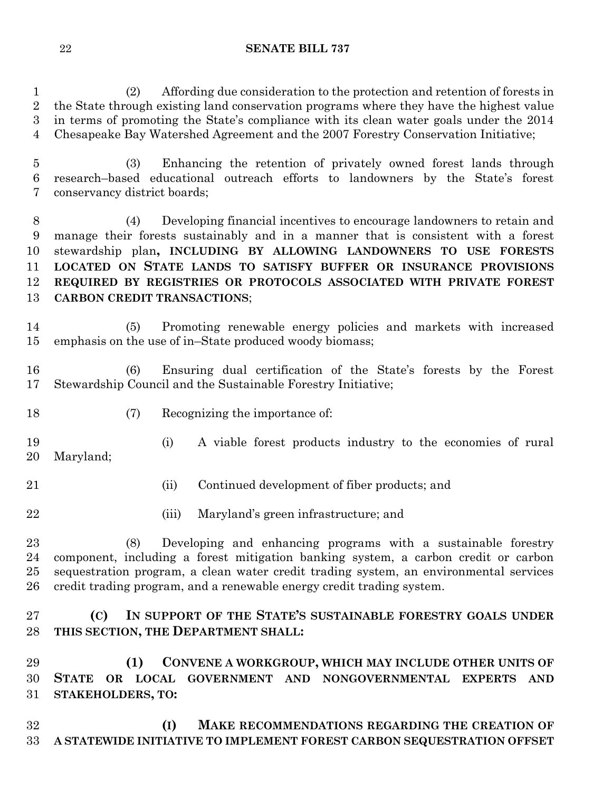(2) Affording due consideration to the protection and retention of forests in the State through existing land conservation programs where they have the highest value in terms of promoting the State's compliance with its clean water goals under the 2014 Chesapeake Bay Watershed Agreement and the 2007 Forestry Conservation Initiative;

 (3) Enhancing the retention of privately owned forest lands through research–based educational outreach efforts to landowners by the State's forest conservancy district boards;

 (4) Developing financial incentives to encourage landowners to retain and manage their forests sustainably and in a manner that is consistent with a forest stewardship plan**, INCLUDING BY ALLOWING LANDOWNERS TO USE FORESTS LOCATED ON STATE LANDS TO SATISFY BUFFER OR INSURANCE PROVISIONS REQUIRED BY REGISTRIES OR PROTOCOLS ASSOCIATED WITH PRIVATE FOREST CARBON CREDIT TRANSACTIONS**;

 (5) Promoting renewable energy policies and markets with increased emphasis on the use of in–State produced woody biomass;

 (6) Ensuring dual certification of the State's forests by the Forest Stewardship Council and the Sustainable Forestry Initiative;

- (7) Recognizing the importance of:
- (i) A viable forest products industry to the economies of rural Maryland;
- (ii) Continued development of fiber products; and
- (iii) Maryland's green infrastructure; and

 (8) Developing and enhancing programs with a sustainable forestry component, including a forest mitigation banking system, a carbon credit or carbon sequestration program, a clean water credit trading system, an environmental services credit trading program, and a renewable energy credit trading system.

 **(C) IN SUPPORT OF THE STATE'S SUSTAINABLE FORESTRY GOALS UNDER THIS SECTION, THE DEPARTMENT SHALL:**

 **(1) CONVENE A WORKGROUP, WHICH MAY INCLUDE OTHER UNITS OF STATE OR LOCAL GOVERNMENT AND NONGOVERNMENTAL EXPERTS AND STAKEHOLDERS, TO:**

 **(I) MAKE RECOMMENDATIONS REGARDING THE CREATION OF A STATEWIDE INITIATIVE TO IMPLEMENT FOREST CARBON SEQUESTRATION OFFSET**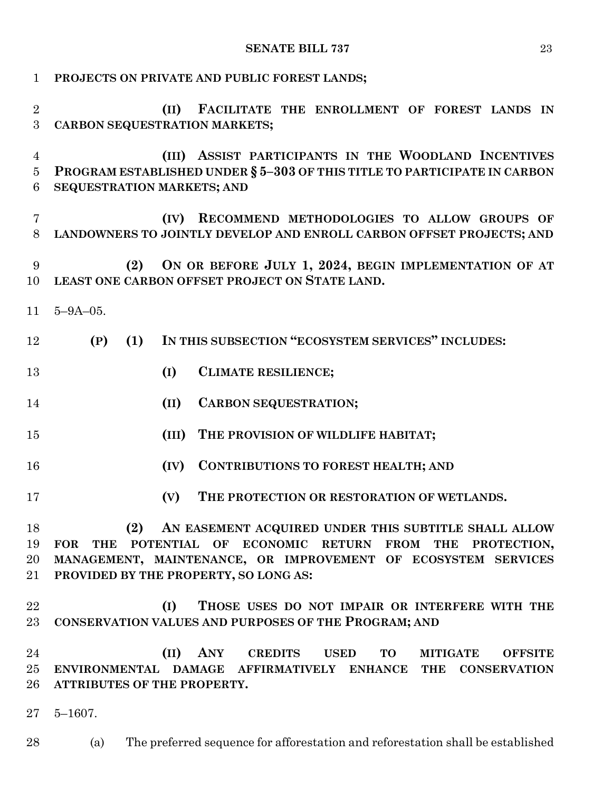| $\mathbf{1}$        | PROJECTS ON PRIVATE AND PUBLIC FOREST LANDS;                                                                                                                           |  |  |  |  |  |  |  |  |
|---------------------|------------------------------------------------------------------------------------------------------------------------------------------------------------------------|--|--|--|--|--|--|--|--|
| $\overline{2}$<br>3 | FACILITATE THE ENROLLMENT OF FOREST LANDS IN<br>(II)<br>CARBON SEQUESTRATION MARKETS;                                                                                  |  |  |  |  |  |  |  |  |
| 4<br>5<br>6         | ASSIST PARTICIPANTS IN THE WOODLAND INCENTIVES<br>(III)<br>PROGRAM ESTABLISHED UNDER § 5-303 OF THIS TITLE TO PARTICIPATE IN CARBON<br>SEQUESTRATION MARKETS; AND      |  |  |  |  |  |  |  |  |
| 7<br>8              | RECOMMEND METHODOLOGIES TO ALLOW GROUPS OF<br>(IV)<br>LANDOWNERS TO JOINTLY DEVELOP AND ENROLL CARBON OFFSET PROJECTS; AND                                             |  |  |  |  |  |  |  |  |
| 9<br>10             | ON OR BEFORE JULY 1, 2024, BEGIN IMPLEMENTATION OF AT<br>(2)<br>LEAST ONE CARBON OFFSET PROJECT ON STATE LAND.                                                         |  |  |  |  |  |  |  |  |
| 11                  | $5 - 9A - 05$ .                                                                                                                                                        |  |  |  |  |  |  |  |  |
| 12                  | IN THIS SUBSECTION "ECOSYSTEM SERVICES" INCLUDES:<br>(P)<br>(1)                                                                                                        |  |  |  |  |  |  |  |  |
| 13                  | (I)<br><b>CLIMATE RESILIENCE;</b>                                                                                                                                      |  |  |  |  |  |  |  |  |
| 14                  | <b>CARBON SEQUESTRATION;</b><br>(II)                                                                                                                                   |  |  |  |  |  |  |  |  |
| 15                  | (III)<br>THE PROVISION OF WILDLIFE HABITAT;                                                                                                                            |  |  |  |  |  |  |  |  |
| 16                  | <b>CONTRIBUTIONS TO FOREST HEALTH; AND</b><br>(IV)                                                                                                                     |  |  |  |  |  |  |  |  |
| 17                  | THE PROTECTION OR RESTORATION OF WETLANDS.<br>(V)                                                                                                                      |  |  |  |  |  |  |  |  |
|                     | (2)                                                                                                                                                                    |  |  |  |  |  |  |  |  |
| 18<br>19            | AN EASEMENT ACQUIRED UNDER THIS SUBTITLE SHALL ALLOW<br>POTENTIAL OF ECONOMIC<br><b>RETURN</b><br><b>FROM</b><br><b>THE</b><br><b>THE</b><br>PROTECTION,<br><b>FOR</b> |  |  |  |  |  |  |  |  |
| 20                  | MANAGEMENT, MAINTENANCE, OR IMPROVEMENT OF ECOSYSTEM SERVICES                                                                                                          |  |  |  |  |  |  |  |  |
|                     |                                                                                                                                                                        |  |  |  |  |  |  |  |  |
| 21                  | PROVIDED BY THE PROPERTY, SO LONG AS:                                                                                                                                  |  |  |  |  |  |  |  |  |
| 22                  | (I)<br>THOSE USES DO NOT IMPAIR OR INTERFERE WITH THE                                                                                                                  |  |  |  |  |  |  |  |  |
| 23                  | CONSERVATION VALUES AND PURPOSES OF THE PROGRAM; AND                                                                                                                   |  |  |  |  |  |  |  |  |
| 24                  | ANY<br><b>USED</b><br>TO<br><b>MITIGATE</b>                                                                                                                            |  |  |  |  |  |  |  |  |
|                     | (II)<br><b>CREDITS</b><br><b>OFFSITE</b>                                                                                                                               |  |  |  |  |  |  |  |  |
| 25                  | ENVIRONMENTAL DAMAGE AFFIRMATIVELY ENHANCE<br>THE<br><b>CONSERVATION</b>                                                                                               |  |  |  |  |  |  |  |  |
| 26                  | ATTRIBUTES OF THE PROPERTY.                                                                                                                                            |  |  |  |  |  |  |  |  |
| $27\,$              | $5 - 1607$ .                                                                                                                                                           |  |  |  |  |  |  |  |  |
| 28                  | The preferred sequence for afforestation and reforestation shall be established<br>(a)                                                                                 |  |  |  |  |  |  |  |  |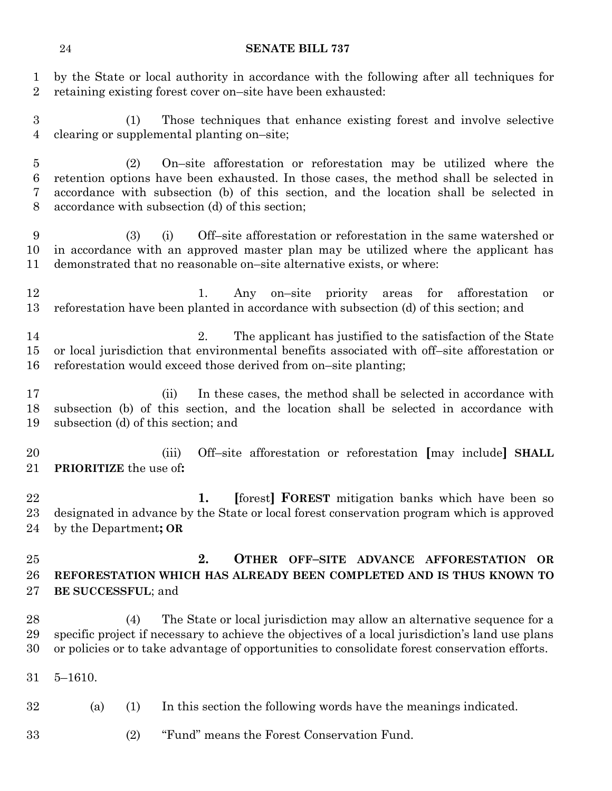by the State or local authority in accordance with the following after all techniques for retaining existing forest cover on–site have been exhausted:

 (1) Those techniques that enhance existing forest and involve selective clearing or supplemental planting on–site;

 (2) On–site afforestation or reforestation may be utilized where the retention options have been exhausted. In those cases, the method shall be selected in accordance with subsection (b) of this section, and the location shall be selected in accordance with subsection (d) of this section;

 (3) (i) Off–site afforestation or reforestation in the same watershed or in accordance with an approved master plan may be utilized where the applicant has demonstrated that no reasonable on–site alternative exists, or where:

 1. Any on–site priority areas for afforestation or reforestation have been planted in accordance with subsection (d) of this section; and

 2. The applicant has justified to the satisfaction of the State or local jurisdiction that environmental benefits associated with off–site afforestation or reforestation would exceed those derived from on–site planting;

 (ii) In these cases, the method shall be selected in accordance with subsection (b) of this section, and the location shall be selected in accordance with subsection (d) of this section; and

 (iii) Off–site afforestation or reforestation **[**may include**] SHALL PRIORITIZE** the use of**:**

 **1. [**forest**] FOREST** mitigation banks which have been so designated in advance by the State or local forest conservation program which is approved by the Department**; OR**

 **2. OTHER OFF–SITE ADVANCE AFFORESTATION OR REFORESTATION WHICH HAS ALREADY BEEN COMPLETED AND IS THUS KNOWN TO BE SUCCESSFUL**; and

 (4) The State or local jurisdiction may allow an alternative sequence for a specific project if necessary to achieve the objectives of a local jurisdiction's land use plans or policies or to take advantage of opportunities to consolidate forest conservation efforts.

5–1610.

- (a) (1) In this section the following words have the meanings indicated.
- (2) "Fund" means the Forest Conservation Fund.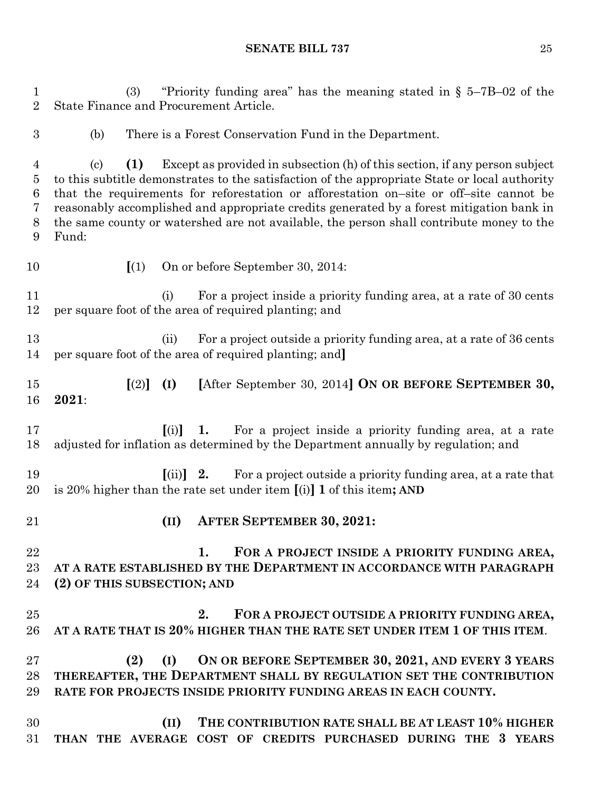(3) "Priority funding area" has the meaning stated in § 5–7B–02 of the State Finance and Procurement Article. (b) There is a Forest Conservation Fund in the Department. (c) **(1)** Except as provided in subsection (h) of this section, if any person subject to this subtitle demonstrates to the satisfaction of the appropriate State or local authority that the requirements for reforestation or afforestation on–site or off–site cannot be reasonably accomplished and appropriate credits generated by a forest mitigation bank in the same county or watershed are not available, the person shall contribute money to the Fund: **[**(1) On or before September 30, 2014: (i) For a project inside a priority funding area, at a rate of 30 cents per square foot of the area of required planting; and 13 (ii) For a project outside a priority funding area, at a rate of 36 cents per square foot of the area of required planting; and**] [**(2)**] (I) [**After September 30, 2014**] ON OR BEFORE SEPTEMBER 30, 2021**: **[**(i)**] 1.** For a project inside a priority funding area, at a rate adjusted for inflation as determined by the Department annually by regulation; and **[**(ii)**] 2.** For a project outside a priority funding area, at a rate that is 20% higher than the rate set under item **[**(i)**] 1** of this item**; AND (II) AFTER SEPTEMBER 30, 2021: 1. FOR A PROJECT INSIDE A PRIORITY FUNDING AREA, AT A RATE ESTABLISHED BY THE DEPARTMENT IN ACCORDANCE WITH PARAGRAPH (2) OF THIS SUBSECTION; AND 2. FOR A PROJECT OUTSIDE A PRIORITY FUNDING AREA, AT A RATE THAT IS 20% HIGHER THAN THE RATE SET UNDER ITEM 1 OF THIS ITEM**. **(2) (I) ON OR BEFORE SEPTEMBER 30, 2021, AND EVERY 3 YEARS THEREAFTER, THE DEPARTMENT SHALL BY REGULATION SET THE CONTRIBUTION RATE FOR PROJECTS INSIDE PRIORITY FUNDING AREAS IN EACH COUNTY. (II) THE CONTRIBUTION RATE SHALL BE AT LEAST 10% HIGHER THAN THE AVERAGE COST OF CREDITS PURCHASED DURING THE 3 YEARS**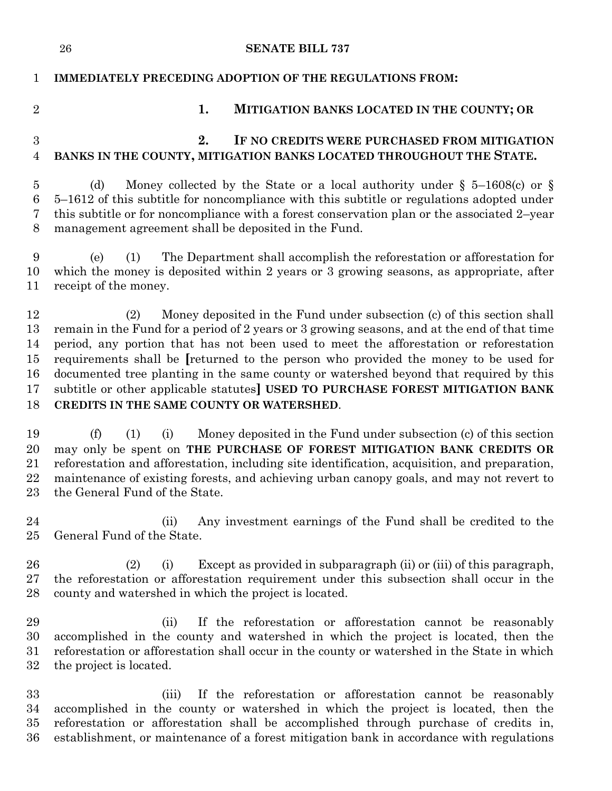|                                        | <b>SENATE BILL 737</b><br>26                                                                                                                                                                                                                                                                                                                                                                                                                                                                                                                                                         |
|----------------------------------------|--------------------------------------------------------------------------------------------------------------------------------------------------------------------------------------------------------------------------------------------------------------------------------------------------------------------------------------------------------------------------------------------------------------------------------------------------------------------------------------------------------------------------------------------------------------------------------------|
| 1                                      | <b>IMMEDIATELY PRECEDING ADOPTION OF THE REGULATIONS FROM:</b>                                                                                                                                                                                                                                                                                                                                                                                                                                                                                                                       |
| $\overline{2}$                         | 1.<br>MITIGATION BANKS LOCATED IN THE COUNTY; OR                                                                                                                                                                                                                                                                                                                                                                                                                                                                                                                                     |
| 3<br>$\overline{4}$                    | 2.<br>IF NO CREDITS WERE PURCHASED FROM MITIGATION<br>BANKS IN THE COUNTY, MITIGATION BANKS LOCATED THROUGHOUT THE STATE.                                                                                                                                                                                                                                                                                                                                                                                                                                                            |
| $\overline{5}$<br>6<br>7<br>8          | Money collected by the State or a local authority under § 5–1608(c) or §<br>(d)<br>5–1612 of this subtitle for noncompliance with this subtitle or regulations adopted under<br>this subtitle or for noncompliance with a forest conservation plan or the associated 2-year<br>management agreement shall be deposited in the Fund.                                                                                                                                                                                                                                                  |
| 9<br>10<br>11                          | The Department shall accomplish the reforestation or afforestation for<br>(e)<br>(1)<br>which the money is deposited within 2 years or 3 growing seasons, as appropriate, after<br>receipt of the money.                                                                                                                                                                                                                                                                                                                                                                             |
| 12<br>13<br>14<br>15<br>16<br>17<br>18 | Money deposited in the Fund under subsection (c) of this section shall<br>(2)<br>remain in the Fund for a period of 2 years or 3 growing seasons, and at the end of that time<br>period, any portion that has not been used to meet the afforestation or reforestation<br>requirements shall be [returned to the person who provided the money to be used for<br>documented tree planting in the same county or watershed beyond that required by this<br>subtitle or other applicable statutes] USED TO PURCHASE FOREST MITIGATION BANK<br>CREDITS IN THE SAME COUNTY OR WATERSHED. |
| 19<br>20<br>21<br>22<br>23             | Money deposited in the Fund under subsection (c) of this section<br>(f)<br>(1)<br>(i)<br>may only be spent on THE PURCHASE OF FOREST MITIGATION BANK CREDITS OR<br>reforestation and afforestation, including site identification, acquisition, and preparation,<br>maintenance of existing forests, and achieving urban canopy goals, and may not revert to<br>the General Fund of the State.                                                                                                                                                                                       |
| 24<br>25                               | Any investment earnings of the Fund shall be credited to the<br>(ii)<br>General Fund of the State.                                                                                                                                                                                                                                                                                                                                                                                                                                                                                   |
| 26<br>27<br>28                         | Except as provided in subparagraph (ii) or (iii) of this paragraph,<br>(2)<br>(i)<br>the reforestation or afforestation requirement under this subsection shall occur in the<br>county and watershed in which the project is located.                                                                                                                                                                                                                                                                                                                                                |
| 29<br>30<br>31<br>32                   | (ii)<br>If the reforestation or afforestation cannot be reasonably<br>accomplished in the county and watershed in which the project is located, then the<br>reforestation or afforestation shall occur in the county or watershed in the State in which<br>the project is located.                                                                                                                                                                                                                                                                                                   |
| 33<br>34<br>35<br>36                   | If the reforestation or afforestation cannot be reasonably<br>(iii)<br>accomplished in the county or watershed in which the project is located, then the<br>reforestation or afforestation shall be accomplished through purchase of credits in,<br>establishment, or maintenance of a forest mitigation bank in accordance with regulations                                                                                                                                                                                                                                         |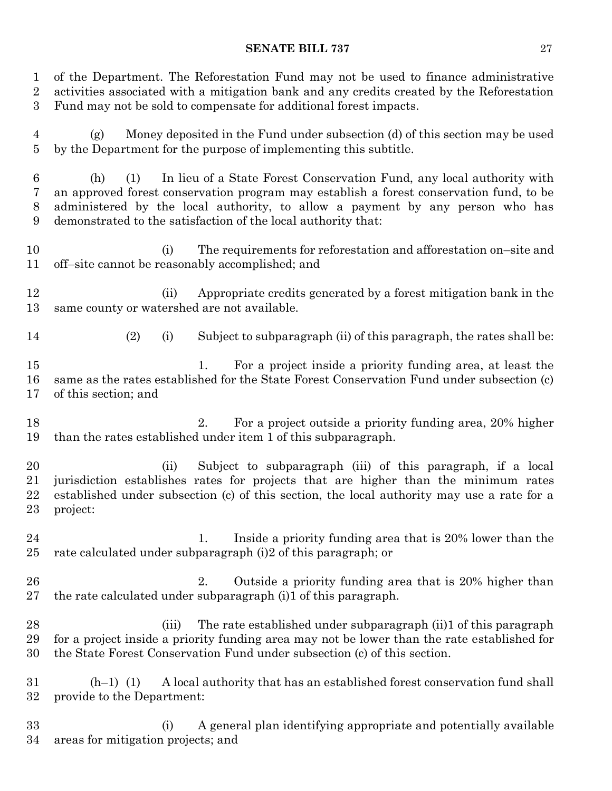of the Department. The Reforestation Fund may not be used to finance administrative activities associated with a mitigation bank and any credits created by the Reforestation Fund may not be sold to compensate for additional forest impacts. (g) Money deposited in the Fund under subsection (d) of this section may be used by the Department for the purpose of implementing this subtitle. (h) (1) In lieu of a State Forest Conservation Fund, any local authority with an approved forest conservation program may establish a forest conservation fund, to be administered by the local authority, to allow a payment by any person who has demonstrated to the satisfaction of the local authority that: (i) The requirements for reforestation and afforestation on–site and off–site cannot be reasonably accomplished; and (ii) Appropriate credits generated by a forest mitigation bank in the same county or watershed are not available. (2) (i) Subject to subparagraph (ii) of this paragraph, the rates shall be: 1. For a project inside a priority funding area, at least the same as the rates established for the State Forest Conservation Fund under subsection (c) of this section; and 2. For a project outside a priority funding area, 20% higher than the rates established under item 1 of this subparagraph. (ii) Subject to subparagraph (iii) of this paragraph, if a local jurisdiction establishes rates for projects that are higher than the minimum rates established under subsection (c) of this section, the local authority may use a rate for a project: 24 1. Inside a priority funding area that is 20% lower than the rate calculated under subparagraph (i)2 of this paragraph; or 26 26 2. Outside a priority funding area that is 20% higher than the rate calculated under subparagraph (i)1 of this paragraph. (iii) The rate established under subparagraph (ii)1 of this paragraph for a project inside a priority funding area may not be lower than the rate established for the State Forest Conservation Fund under subsection (c) of this section. (h–1) (1) A local authority that has an established forest conservation fund shall provide to the Department: (i) A general plan identifying appropriate and potentially available areas for mitigation projects; and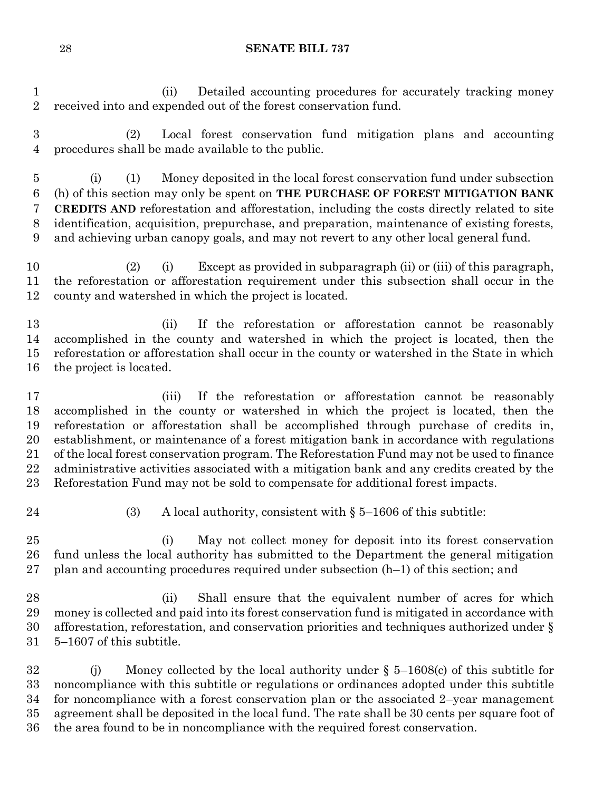(ii) Detailed accounting procedures for accurately tracking money received into and expended out of the forest conservation fund.

 (2) Local forest conservation fund mitigation plans and accounting procedures shall be made available to the public.

 (i) (1) Money deposited in the local forest conservation fund under subsection (h) of this section may only be spent on **THE PURCHASE OF FOREST MITIGATION BANK CREDITS AND** reforestation and afforestation, including the costs directly related to site identification, acquisition, prepurchase, and preparation, maintenance of existing forests, and achieving urban canopy goals, and may not revert to any other local general fund.

 (2) (i) Except as provided in subparagraph (ii) or (iii) of this paragraph, the reforestation or afforestation requirement under this subsection shall occur in the county and watershed in which the project is located.

 (ii) If the reforestation or afforestation cannot be reasonably accomplished in the county and watershed in which the project is located, then the reforestation or afforestation shall occur in the county or watershed in the State in which the project is located.

 (iii) If the reforestation or afforestation cannot be reasonably accomplished in the county or watershed in which the project is located, then the reforestation or afforestation shall be accomplished through purchase of credits in, establishment, or maintenance of a forest mitigation bank in accordance with regulations of the local forest conservation program. The Reforestation Fund may not be used to finance administrative activities associated with a mitigation bank and any credits created by the Reforestation Fund may not be sold to compensate for additional forest impacts.

(3) A local authority, consistent with § 5–1606 of this subtitle:

 (i) May not collect money for deposit into its forest conservation fund unless the local authority has submitted to the Department the general mitigation 27 plan and accounting procedures required under subsection  $(h-1)$  of this section; and

 (ii) Shall ensure that the equivalent number of acres for which money is collected and paid into its forest conservation fund is mitigated in accordance with afforestation, reforestation, and conservation priorities and techniques authorized under § 5–1607 of this subtitle.

 (j) Money collected by the local authority under § 5–1608(c) of this subtitle for noncompliance with this subtitle or regulations or ordinances adopted under this subtitle for noncompliance with a forest conservation plan or the associated 2–year management agreement shall be deposited in the local fund. The rate shall be 30 cents per square foot of the area found to be in noncompliance with the required forest conservation.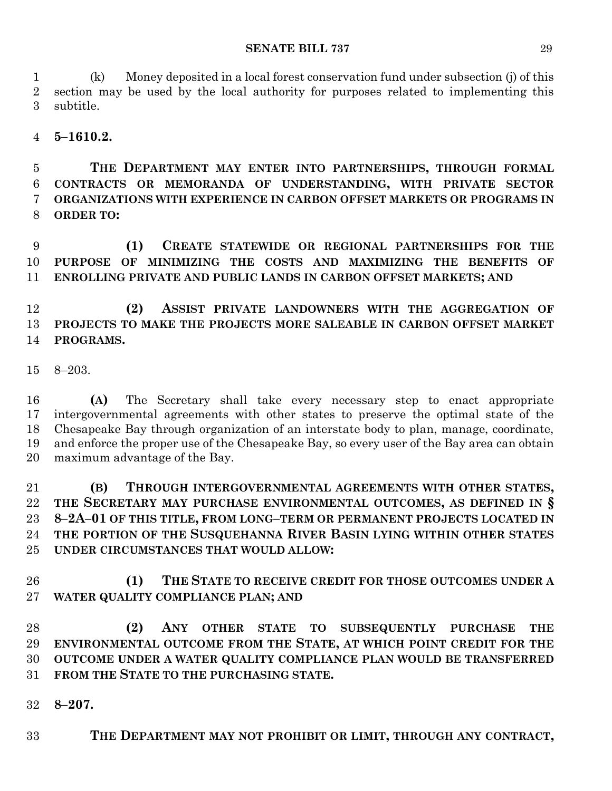(k) Money deposited in a local forest conservation fund under subsection (j) of this section may be used by the local authority for purposes related to implementing this subtitle.

**5–1610.2.**

 **THE DEPARTMENT MAY ENTER INTO PARTNERSHIPS, THROUGH FORMAL CONTRACTS OR MEMORANDA OF UNDERSTANDING, WITH PRIVATE SECTOR ORGANIZATIONS WITH EXPERIENCE IN CARBON OFFSET MARKETS OR PROGRAMS IN ORDER TO:**

 **(1) CREATE STATEWIDE OR REGIONAL PARTNERSHIPS FOR THE PURPOSE OF MINIMIZING THE COSTS AND MAXIMIZING THE BENEFITS OF ENROLLING PRIVATE AND PUBLIC LANDS IN CARBON OFFSET MARKETS; AND**

 **(2) ASSIST PRIVATE LANDOWNERS WITH THE AGGREGATION OF PROJECTS TO MAKE THE PROJECTS MORE SALEABLE IN CARBON OFFSET MARKET PROGRAMS.**

8–203.

 **(A)** The Secretary shall take every necessary step to enact appropriate intergovernmental agreements with other states to preserve the optimal state of the Chesapeake Bay through organization of an interstate body to plan, manage, coordinate, and enforce the proper use of the Chesapeake Bay, so every user of the Bay area can obtain maximum advantage of the Bay.

 **(B) THROUGH INTERGOVERNMENTAL AGREEMENTS WITH OTHER STATES, THE SECRETARY MAY PURCHASE ENVIRONMENTAL OUTCOMES, AS DEFINED IN § 8–2A–01 OF THIS TITLE, FROM LONG–TERM OR PERMANENT PROJECTS LOCATED IN THE PORTION OF THE SUSQUEHANNA RIVER BASIN LYING WITHIN OTHER STATES UNDER CIRCUMSTANCES THAT WOULD ALLOW:**

 **(1) THE STATE TO RECEIVE CREDIT FOR THOSE OUTCOMES UNDER A WATER QUALITY COMPLIANCE PLAN; AND**

 **(2) ANY OTHER STATE TO SUBSEQUENTLY PURCHASE THE ENVIRONMENTAL OUTCOME FROM THE STATE, AT WHICH POINT CREDIT FOR THE OUTCOME UNDER A WATER QUALITY COMPLIANCE PLAN WOULD BE TRANSFERRED FROM THE STATE TO THE PURCHASING STATE.**

**8–207.**

**THE DEPARTMENT MAY NOT PROHIBIT OR LIMIT, THROUGH ANY CONTRACT,**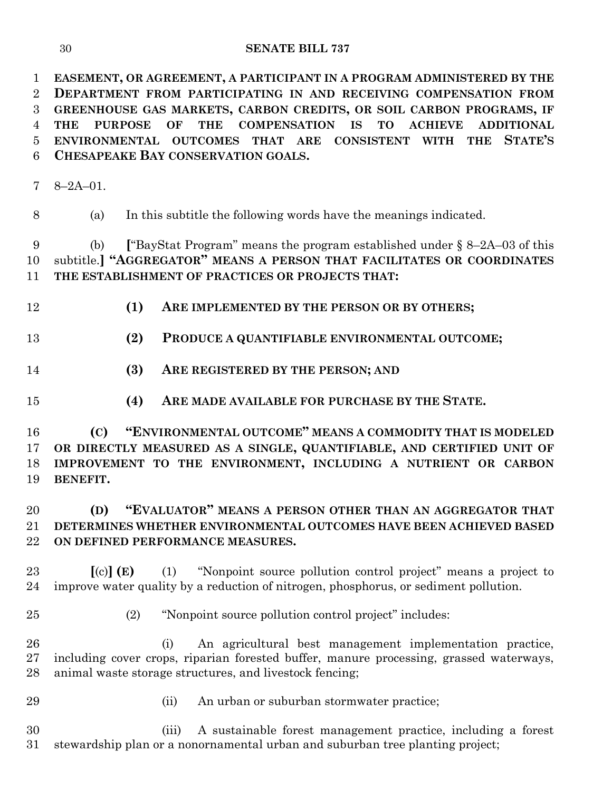**EASEMENT, OR AGREEMENT, A PARTICIPANT IN A PROGRAM ADMINISTERED BY THE DEPARTMENT FROM PARTICIPATING IN AND RECEIVING COMPENSATION FROM GREENHOUSE GAS MARKETS, CARBON CREDITS, OR SOIL CARBON PROGRAMS, IF THE PURPOSE OF THE COMPENSATION IS TO ACHIEVE ADDITIONAL ENVIRONMENTAL OUTCOMES THAT ARE CONSISTENT WITH THE STATE'S CHESAPEAKE BAY CONSERVATION GOALS.**

8–2A–01.

(a) In this subtitle the following words have the meanings indicated.

 (b) **[**"BayStat Program" means the program established under § 8–2A–03 of this subtitle.**] "AGGREGATOR" MEANS A PERSON THAT FACILITATES OR COORDINATES THE ESTABLISHMENT OF PRACTICES OR PROJECTS THAT:**

- **(1) ARE IMPLEMENTED BY THE PERSON OR BY OTHERS;**
- **(2) PRODUCE A QUANTIFIABLE ENVIRONMENTAL OUTCOME;**
- **(3) ARE REGISTERED BY THE PERSON; AND**
- **(4) ARE MADE AVAILABLE FOR PURCHASE BY THE STATE.**

 **(C) "ENVIRONMENTAL OUTCOME" MEANS A COMMODITY THAT IS MODELED OR DIRECTLY MEASURED AS A SINGLE, QUANTIFIABLE, AND CERTIFIED UNIT OF IMPROVEMENT TO THE ENVIRONMENT, INCLUDING A NUTRIENT OR CARBON BENEFIT.**

# **(D) "EVALUATOR" MEANS A PERSON OTHER THAN AN AGGREGATOR THAT DETERMINES WHETHER ENVIRONMENTAL OUTCOMES HAVE BEEN ACHIEVED BASED ON DEFINED PERFORMANCE MEASURES.**

 **[**(c)**] (E)** (1) "Nonpoint source pollution control project" means a project to improve water quality by a reduction of nitrogen, phosphorus, or sediment pollution.

- 
- (2) "Nonpoint source pollution control project" includes:

 (i) An agricultural best management implementation practice, including cover crops, riparian forested buffer, manure processing, grassed waterways, animal waste storage structures, and livestock fencing;

- 
- (ii) An urban or suburban stormwater practice;

 (iii) A sustainable forest management practice, including a forest stewardship plan or a nonornamental urban and suburban tree planting project;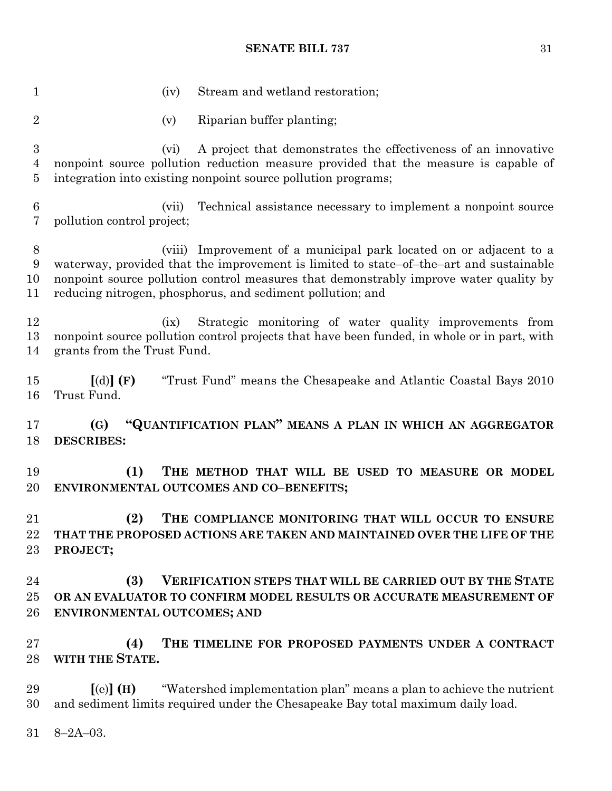1 (iv) Stream and wetland restoration; (v) Riparian buffer planting; (vi) A project that demonstrates the effectiveness of an innovative nonpoint source pollution reduction measure provided that the measure is capable of integration into existing nonpoint source pollution programs; (vii) Technical assistance necessary to implement a nonpoint source pollution control project; (viii) Improvement of a municipal park located on or adjacent to a waterway, provided that the improvement is limited to state–of–the–art and sustainable nonpoint source pollution control measures that demonstrably improve water quality by reducing nitrogen, phosphorus, and sediment pollution; and (ix) Strategic monitoring of water quality improvements from nonpoint source pollution control projects that have been funded, in whole or in part, with grants from the Trust Fund. **[**(d)**] (F)** "Trust Fund" means the Chesapeake and Atlantic Coastal Bays 2010 Trust Fund. **(G) "QUANTIFICATION PLAN" MEANS A PLAN IN WHICH AN AGGREGATOR DESCRIBES: (1) THE METHOD THAT WILL BE USED TO MEASURE OR MODEL ENVIRONMENTAL OUTCOMES AND CO–BENEFITS; (2) THE COMPLIANCE MONITORING THAT WILL OCCUR TO ENSURE THAT THE PROPOSED ACTIONS ARE TAKEN AND MAINTAINED OVER THE LIFE OF THE PROJECT; (3) VERIFICATION STEPS THAT WILL BE CARRIED OUT BY THE STATE OR AN EVALUATOR TO CONFIRM MODEL RESULTS OR ACCURATE MEASUREMENT OF ENVIRONMENTAL OUTCOMES; AND (4) THE TIMELINE FOR PROPOSED PAYMENTS UNDER A CONTRACT WITH THE STATE. [**(e)**] (H)** "Watershed implementation plan" means a plan to achieve the nutrient and sediment limits required under the Chesapeake Bay total maximum daily load.

8–2A–03.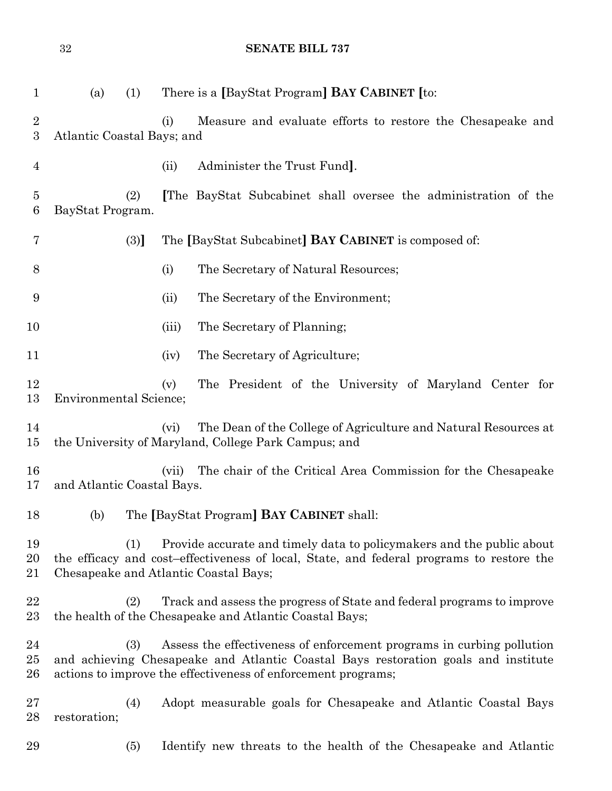| $\mathbf{1}$           | (a)                           | (1) |       | There is a [BayStat Program] <b>BAY CABINET</b> [to:                                                                                                                                                                         |
|------------------------|-------------------------------|-----|-------|------------------------------------------------------------------------------------------------------------------------------------------------------------------------------------------------------------------------------|
| $\overline{2}$<br>3    | Atlantic Coastal Bays; and    |     | (i)   | Measure and evaluate efforts to restore the Chesapeake and                                                                                                                                                                   |
| $\overline{4}$         |                               |     | (ii)  | Administer the Trust Fund.                                                                                                                                                                                                   |
| 5<br>6                 | BayStat Program.              | (2) |       | The BayStat Subcabinet shall oversee the administration of the                                                                                                                                                               |
| 7                      |                               | (3) |       | The [BayStat Subcabinet] <b>BAY CABINET</b> is composed of:                                                                                                                                                                  |
| 8                      |                               |     | (i)   | The Secretary of Natural Resources;                                                                                                                                                                                          |
| 9                      |                               |     | (ii)  | The Secretary of the Environment;                                                                                                                                                                                            |
| 10                     |                               |     | (iii) | The Secretary of Planning;                                                                                                                                                                                                   |
| 11                     |                               |     | (iv)  | The Secretary of Agriculture;                                                                                                                                                                                                |
| 12<br>13               | <b>Environmental Science;</b> |     | (v)   | The President of the University of Maryland Center for                                                                                                                                                                       |
| 14<br>15               |                               |     | (vi)  | The Dean of the College of Agriculture and Natural Resources at<br>the University of Maryland, College Park Campus; and                                                                                                      |
| 16<br>17               | and Atlantic Coastal Bays.    |     | (vii) | The chair of the Critical Area Commission for the Chesapeake                                                                                                                                                                 |
| 18                     | (b)                           |     |       | The [BayStat Program] <b>BAY CABINET</b> shall:                                                                                                                                                                              |
| 19<br>20<br>21         |                               | (1) |       | Provide accurate and timely data to policy makers and the public about<br>the efficacy and cost-effectiveness of local, State, and federal programs to restore the<br>Chesapeake and Atlantic Coastal Bays;                  |
| 22<br>$23\,$           |                               | (2) |       | Track and assess the progress of State and federal programs to improve<br>the health of the Chesapeake and Atlantic Coastal Bays;                                                                                            |
| 24<br>$25\,$<br>$26\,$ |                               | (3) |       | Assess the effectiveness of enforcement programs in curbing pollution<br>and achieving Chesapeake and Atlantic Coastal Bays restoration goals and institute<br>actions to improve the effectiveness of enforcement programs; |
| $27\,$<br>28           | restoration;                  | (4) |       | Adopt measurable goals for Chesapeake and Atlantic Coastal Bays                                                                                                                                                              |

(5) Identify new threats to the health of the Chesapeake and Atlantic

**SENATE BILL 737**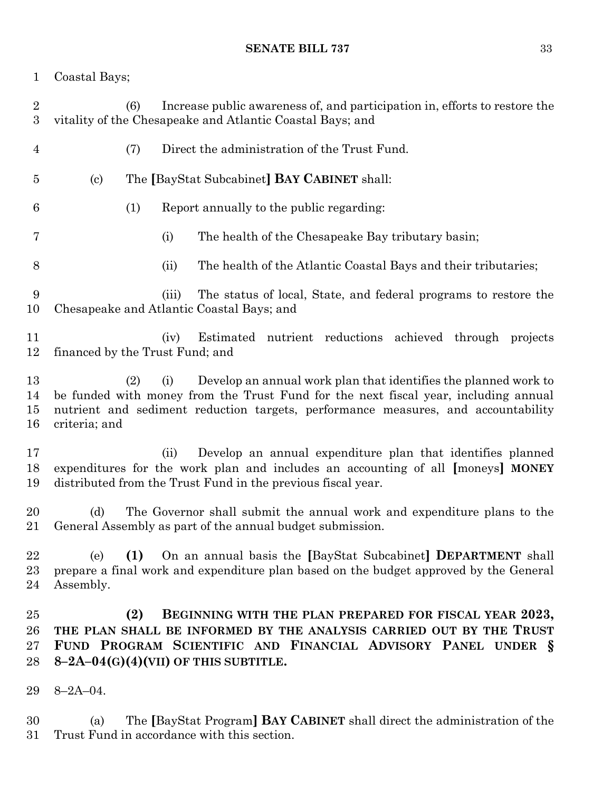Coastal Bays;

 (6) Increase public awareness of, and participation in, efforts to restore the vitality of the Chesapeake and Atlantic Coastal Bays; and (7) Direct the administration of the Trust Fund. (c) The **[**BayStat Subcabinet**] BAY CABINET** shall: (1) Report annually to the public regarding: (i) The health of the Chesapeake Bay tributary basin; (ii) The health of the Atlantic Coastal Bays and their tributaries; (iii) The status of local, State, and federal programs to restore the Chesapeake and Atlantic Coastal Bays; and (iv) Estimated nutrient reductions achieved through projects financed by the Trust Fund; and (2) (i) Develop an annual work plan that identifies the planned work to be funded with money from the Trust Fund for the next fiscal year, including annual nutrient and sediment reduction targets, performance measures, and accountability criteria; and (ii) Develop an annual expenditure plan that identifies planned expenditures for the work plan and includes an accounting of all **[**moneys**] MONEY** distributed from the Trust Fund in the previous fiscal year. (d) The Governor shall submit the annual work and expenditure plans to the General Assembly as part of the annual budget submission. (e) **(1)** On an annual basis the **[**BayStat Subcabinet**] DEPARTMENT** shall prepare a final work and expenditure plan based on the budget approved by the General Assembly. **(2) BEGINNING WITH THE PLAN PREPARED FOR FISCAL YEAR 2023, THE PLAN SHALL BE INFORMED BY THE ANALYSIS CARRIED OUT BY THE TRUST FUND PROGRAM SCIENTIFIC AND FINANCIAL ADVISORY PANEL UNDER § 8–2A–04(G)(4)(VII) OF THIS SUBTITLE.** 8–2A–04.

 (a) The **[**BayStat Program**] BAY CABINET** shall direct the administration of the Trust Fund in accordance with this section.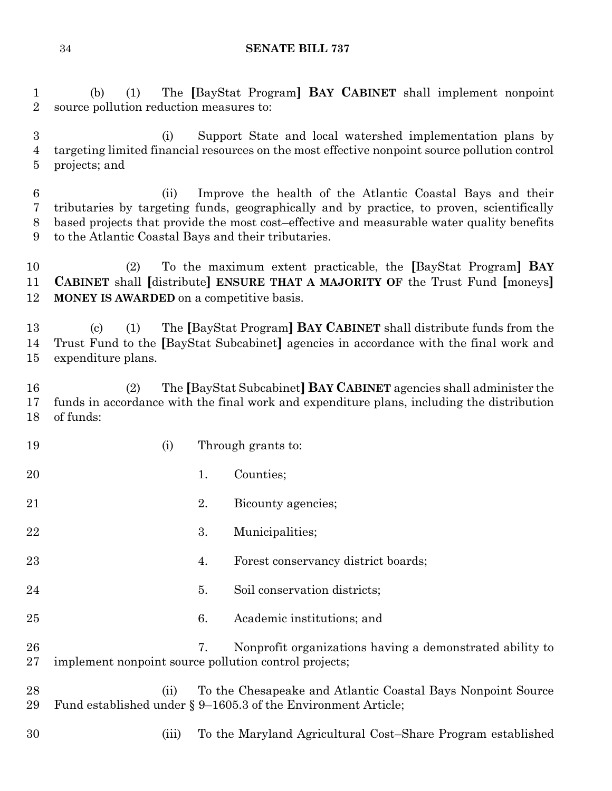(b) (1) The **[**BayStat Program**] BAY CABINET** shall implement nonpoint source pollution reduction measures to:

 (i) Support State and local watershed implementation plans by targeting limited financial resources on the most effective nonpoint source pollution control projects; and

 (ii) Improve the health of the Atlantic Coastal Bays and their tributaries by targeting funds, geographically and by practice, to proven, scientifically based projects that provide the most cost–effective and measurable water quality benefits to the Atlantic Coastal Bays and their tributaries.

 (2) To the maximum extent practicable, the **[**BayStat Program**] BAY CABINET** shall **[**distribute**] ENSURE THAT A MAJORITY OF** the Trust Fund **[**moneys**] MONEY IS AWARDED** on a competitive basis.

 (c) (1) The **[**BayStat Program**] BAY CABINET** shall distribute funds from the Trust Fund to the **[**BayStat Subcabinet**]** agencies in accordance with the final work and expenditure plans.

 (2) The **[**BayStat Subcabinet**] BAY CABINET** agencies shall administer the funds in accordance with the final work and expenditure plans, including the distribution of funds:

| 19       | (i)                                                   |    | Through grants to:                                                                                                               |
|----------|-------------------------------------------------------|----|----------------------------------------------------------------------------------------------------------------------------------|
| 20       |                                                       | 1. | Counties;                                                                                                                        |
| 21       |                                                       | 2. | Bicounty agencies;                                                                                                               |
| 22       |                                                       | 3. | Municipalities;                                                                                                                  |
| 23       |                                                       | 4. | Forest conservancy district boards;                                                                                              |
| 24       |                                                       | 5. | Soil conservation districts;                                                                                                     |
| 25       |                                                       | 6. | Academic institutions; and                                                                                                       |
| 26<br>27 | implement nonpoint source pollution control projects; | 7. | Nonprofit organizations having a demonstrated ability to                                                                         |
| 28<br>29 | (ii)                                                  |    | To the Chesapeake and Atlantic Coastal Bays Nonpoint Source<br>Fund established under $\S 9$ –1605.3 of the Environment Article; |
| 30       | (iii)                                                 |    | To the Maryland Agricultural Cost–Share Program established                                                                      |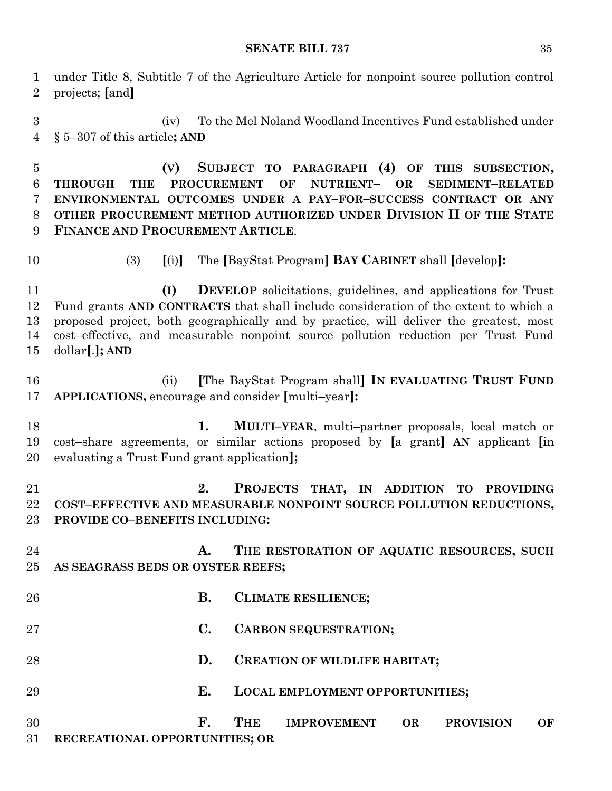under Title 8, Subtitle 7 of the Agriculture Article for nonpoint source pollution control projects; **[**and**]**

 (iv) To the Mel Noland Woodland Incentives Fund established under § 5–307 of this article**; AND**

 **(V) SUBJECT TO PARAGRAPH (4) OF THIS SUBSECTION, THROUGH THE PROCUREMENT OF NUTRIENT– OR SEDIMENT–RELATED ENVIRONMENTAL OUTCOMES UNDER A PAY–FOR–SUCCESS CONTRACT OR ANY OTHER PROCUREMENT METHOD AUTHORIZED UNDER DIVISION II OF THE STATE FINANCE AND PROCUREMENT ARTICLE**.

- 
- (3) **[**(i)**]** The **[**BayStat Program**] BAY CABINET** shall **[**develop**]:**

 **(I) DEVELOP** solicitations, guidelines, and applications for Trust Fund grants **AND CONTRACTS** that shall include consideration of the extent to which a proposed project, both geographically and by practice, will deliver the greatest, most cost–effective, and measurable nonpoint source pollution reduction per Trust Fund dollar**[**.**]; AND**

 (ii) **[**The BayStat Program shall**] IN EVALUATING TRUST FUND APPLICATIONS,** encourage and consider **[**multi–year**]:**

 **1. MULTI–YEAR**, multi–partner proposals, local match or cost–share agreements, or similar actions proposed by **[**a grant**] AN** applicant **[**in evaluating a Trust Fund grant application**];**

 **2. PROJECTS THAT, IN ADDITION TO PROVIDING COST–EFFECTIVE AND MEASURABLE NONPOINT SOURCE POLLUTION REDUCTIONS, PROVIDE CO–BENEFITS INCLUDING:**

 **A. THE RESTORATION OF AQUATIC RESOURCES, SUCH AS SEAGRASS BEDS OR OYSTER REEFS;**

| 26 | В.                             | <b>CLIMATE RESILIENCE;</b> |                                        |    |                  |    |  |  |  |  |  |
|----|--------------------------------|----------------------------|----------------------------------------|----|------------------|----|--|--|--|--|--|
| 27 | $\mathbf{C}$ .                 |                            | <b>CARBON SEQUESTRATION;</b>           |    |                  |    |  |  |  |  |  |
| 28 | D.                             |                            | <b>CREATION OF WILDLIFE HABITAT;</b>   |    |                  |    |  |  |  |  |  |
| 29 | Е.                             |                            | <b>LOCAL EMPLOYMENT OPPORTUNITIES;</b> |    |                  |    |  |  |  |  |  |
| 30 | F.                             | <b>THE</b>                 | <b>IMPROVEMENT</b>                     | OR | <b>PROVISION</b> | OF |  |  |  |  |  |
| 31 | RECREATIONAL OPPORTUNITIES; OR |                            |                                        |    |                  |    |  |  |  |  |  |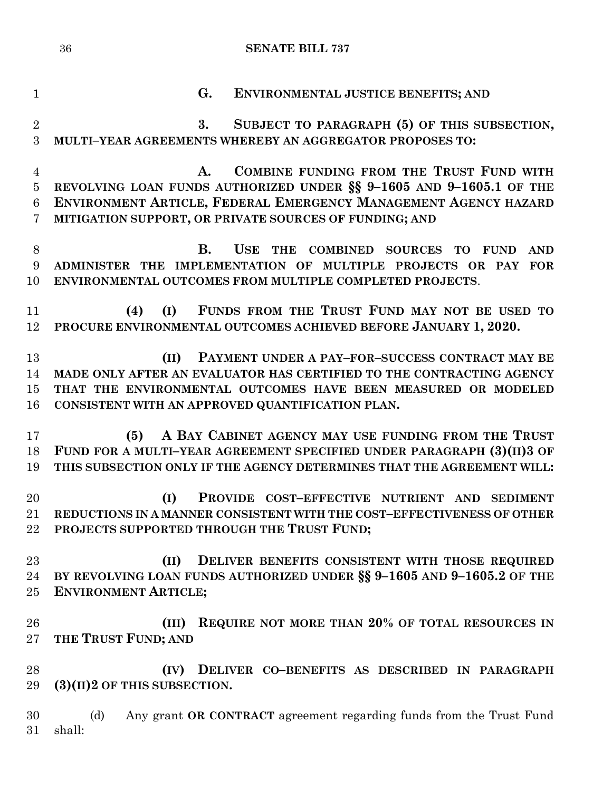| $\mathbf{1}$        | G.<br><b>ENVIRONMENTAL JUSTICE BENEFITS; AND</b>                                                                                                |
|---------------------|-------------------------------------------------------------------------------------------------------------------------------------------------|
| $\overline{2}$<br>3 | SUBJECT TO PARAGRAPH (5) OF THIS SUBSECTION,<br>3.<br>MULTI-YEAR AGREEMENTS WHEREBY AN AGGREGATOR PROPOSES TO:                                  |
| $\overline{4}$      | COMBINE FUNDING FROM THE TRUST FUND WITH<br>A.                                                                                                  |
| $\bf 5$             | REVOLVING LOAN FUNDS AUTHORIZED UNDER §§ 9-1605 AND 9-1605.1 OF THE                                                                             |
| $6\phantom{.}6$     | ENVIRONMENT ARTICLE, FEDERAL EMERGENCY MANAGEMENT AGENCY HAZARD                                                                                 |
| 7                   | MITIGATION SUPPORT, OR PRIVATE SOURCES OF FUNDING; AND                                                                                          |
| 8                   | <b>B.</b><br><b>USE</b><br><b>THE</b><br><b>COMBINED SOURCES</b><br><b>TO</b><br><b>FUND</b><br><b>AND</b>                                      |
| 9                   | ADMINISTER THE IMPLEMENTATION OF MULTIPLE PROJECTS OR PAY FOR                                                                                   |
| 10                  | ENVIRONMENTAL OUTCOMES FROM MULTIPLE COMPLETED PROJECTS.                                                                                        |
| 11                  | FUNDS FROM THE TRUST FUND MAY NOT BE USED TO<br>(4)<br>(I)                                                                                      |
| 12                  | PROCURE ENVIRONMENTAL OUTCOMES ACHIEVED BEFORE JANUARY 1, 2020.                                                                                 |
|                     |                                                                                                                                                 |
| 13                  | PAYMENT UNDER A PAY-FOR-SUCCESS CONTRACT MAY BE<br>(II)                                                                                         |
| 14                  | MADE ONLY AFTER AN EVALUATOR HAS CERTIFIED TO THE CONTRACTING AGENCY                                                                            |
| 15                  | THAT THE ENVIRONMENTAL OUTCOMES HAVE BEEN MEASURED OR MODELED                                                                                   |
| 16                  | CONSISTENT WITH AN APPROVED QUANTIFICATION PLAN.                                                                                                |
|                     |                                                                                                                                                 |
| 17                  | A BAY CABINET AGENCY MAY USE FUNDING FROM THE TRUST<br>(5)                                                                                      |
| 18<br>19            | FUND FOR A MULTI-YEAR AGREEMENT SPECIFIED UNDER PARAGRAPH (3)(II)3 OF<br>THIS SUBSECTION ONLY IF THE AGENCY DETERMINES THAT THE AGREEMENT WILL: |
|                     |                                                                                                                                                 |
| 20                  | PROVIDE COST-EFFECTIVE NUTRIENT AND SEDIMENT<br>(I)                                                                                             |
| 21                  | REDUCTIONS IN A MANNER CONSISTENT WITH THE COST-EFFECTIVENESS OF OTHER                                                                          |
| 22                  | PROJECTS SUPPORTED THROUGH THE TRUST FUND;                                                                                                      |
|                     |                                                                                                                                                 |
| 23                  | (II)<br>DELIVER BENEFITS CONSISTENT WITH THOSE REQUIRED                                                                                         |
| 24                  | BY REVOLVING LOAN FUNDS AUTHORIZED UNDER §§ 9-1605 AND 9-1605.2 OF THE                                                                          |
| 25                  | <b>ENVIRONMENT ARTICLE;</b>                                                                                                                     |
|                     |                                                                                                                                                 |
| 26                  | REQUIRE NOT MORE THAN 20% OF TOTAL RESOURCES IN<br>(III)                                                                                        |
| 27                  | THE TRUST FUND; AND                                                                                                                             |
| 28                  | DELIVER CO-BENEFITS AS DESCRIBED IN PARAGRAPH<br>(IV)                                                                                           |
| 29                  | $(3)(II)2$ OF THIS SUBSECTION.                                                                                                                  |
|                     |                                                                                                                                                 |
| 30                  | Any grant OR CONTRACT agreement regarding funds from the Trust Fund<br>(d)                                                                      |
| 31                  | shall:                                                                                                                                          |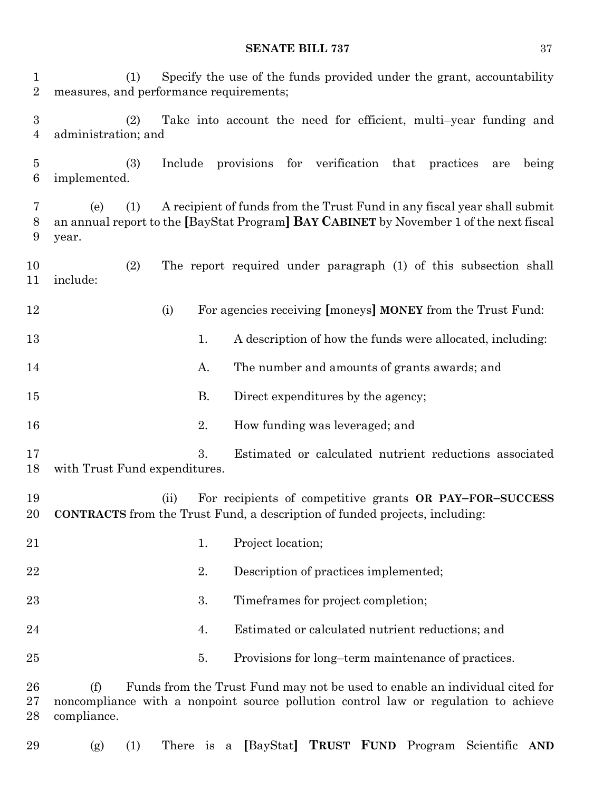| $\mathbf{1}$<br>$\overline{2}$ | Specify the use of the funds provided under the grant, accountability<br>(1)<br>measures, and performance requirements; |         |           |                                       |     |              |  |      |                                                                             |     |       |
|--------------------------------|-------------------------------------------------------------------------------------------------------------------------|---------|-----------|---------------------------------------|-----|--------------|--|------|-----------------------------------------------------------------------------|-----|-------|
| $\boldsymbol{3}$<br>4          | (2)<br>administration; and                                                                                              |         |           |                                       |     |              |  |      | Take into account the need for efficient, multi-year funding and            |     |       |
| 5<br>6                         | (3)<br>implemented.                                                                                                     | Include |           | provisions                            | for | verification |  | that | practices                                                                   | are | being |
| 7<br>8<br>9                    | (1)<br>(e)<br>an annual report to the [BayStat Program] BAY CABINET by November 1 of the next fiscal<br>year.           |         |           |                                       |     |              |  |      | A recipient of funds from the Trust Fund in any fiscal year shall submit    |     |       |
| 10<br>11                       | (2)<br>include:                                                                                                         |         |           |                                       |     |              |  |      | The report required under paragraph (1) of this subsection shall            |     |       |
| 12                             |                                                                                                                         | (i)     |           |                                       |     |              |  |      | For agencies receiving [moneys] MONEY from the Trust Fund:                  |     |       |
| 13                             |                                                                                                                         |         | 1.        |                                       |     |              |  |      | A description of how the funds were allocated, including:                   |     |       |
| 14                             |                                                                                                                         |         | A.        |                                       |     |              |  |      | The number and amounts of grants awards; and                                |     |       |
| 15                             |                                                                                                                         |         | <b>B.</b> | Direct expenditures by the agency;    |     |              |  |      |                                                                             |     |       |
| 16                             |                                                                                                                         |         | 2.        | How funding was leveraged; and        |     |              |  |      |                                                                             |     |       |
| 17<br>18                       | with Trust Fund expenditures.                                                                                           |         | 3.        |                                       |     |              |  |      | Estimated or calculated nutrient reductions associated                      |     |       |
| 19<br>$20\,$                   | CONTRACTS from the Trust Fund, a description of funded projects, including:                                             | (ii)    |           |                                       |     |              |  |      | For recipients of competitive grants OR PAY-FOR-SUCCESS                     |     |       |
| 21                             |                                                                                                                         |         | 1.        | Project location;                     |     |              |  |      |                                                                             |     |       |
| 22                             |                                                                                                                         |         | 2.        | Description of practices implemented; |     |              |  |      |                                                                             |     |       |
| $^{23}$                        |                                                                                                                         |         | 3.        | Timeframes for project completion;    |     |              |  |      |                                                                             |     |       |
| 24                             |                                                                                                                         |         | 4.        |                                       |     |              |  |      | Estimated or calculated nutrient reductions; and                            |     |       |
| 25                             |                                                                                                                         |         | 5.        |                                       |     |              |  |      | Provisions for long-term maintenance of practices.                          |     |       |
| 26<br>$27\,$<br>28             | (f)<br>noncompliance with a nonpoint source pollution control law or regulation to achieve<br>compliance.               |         |           |                                       |     |              |  |      | Funds from the Trust Fund may not be used to enable an individual cited for |     |       |

- 
- (g) (1) There is a **[**BayStat**] TRUST FUND** Program Scientific **AND**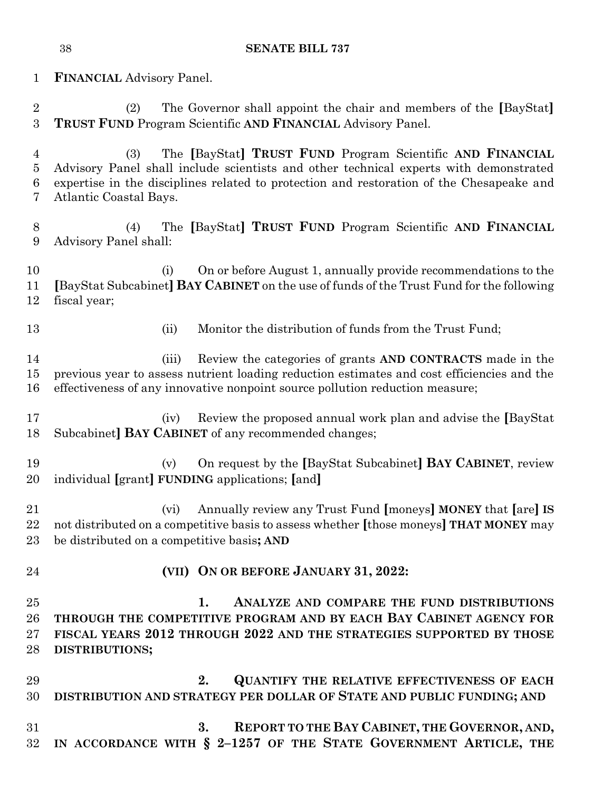**FINANCIAL** Advisory Panel. (2) The Governor shall appoint the chair and members of the **[**BayStat**] TRUST FUND** Program Scientific **AND FINANCIAL** Advisory Panel. (3) The **[**BayStat**] TRUST FUND** Program Scientific **AND FINANCIAL**  Advisory Panel shall include scientists and other technical experts with demonstrated expertise in the disciplines related to protection and restoration of the Chesapeake and Atlantic Coastal Bays. (4) The **[**BayStat**] TRUST FUND** Program Scientific **AND FINANCIAL**  Advisory Panel shall: (i) On or before August 1, annually provide recommendations to the **[**BayStat Subcabinet**] BAY CABINET** on the use of funds of the Trust Fund for the following fiscal year; 13 (ii) Monitor the distribution of funds from the Trust Fund; (iii) Review the categories of grants **AND CONTRACTS** made in the previous year to assess nutrient loading reduction estimates and cost efficiencies and the effectiveness of any innovative nonpoint source pollution reduction measure; (iv) Review the proposed annual work plan and advise the **[**BayStat Subcabinet**] BAY CABINET** of any recommended changes; (v) On request by the **[**BayStat Subcabinet**] BAY CABINET**, review individual **[**grant**] FUNDING** applications; **[**and**]** (vi) Annually review any Trust Fund **[**moneys**] MONEY** that **[**are**] IS** not distributed on a competitive basis to assess whether **[**those moneys**] THAT MONEY** may be distributed on a competitive basis**; AND (VII) ON OR BEFORE JANUARY 31, 2022: 1. ANALYZE AND COMPARE THE FUND DISTRIBUTIONS THROUGH THE COMPETITIVE PROGRAM AND BY EACH BAY CABINET AGENCY FOR FISCAL YEARS 2012 THROUGH 2022 AND THE STRATEGIES SUPPORTED BY THOSE DISTRIBUTIONS; 2. QUANTIFY THE RELATIVE EFFECTIVENESS OF EACH DISTRIBUTION AND STRATEGY PER DOLLAR OF STATE AND PUBLIC FUNDING; AND 3. REPORT TO THE BAY CABINET, THE GOVERNOR, AND, IN ACCORDANCE WITH § 2–1257 OF THE STATE GOVERNMENT ARTICLE, THE**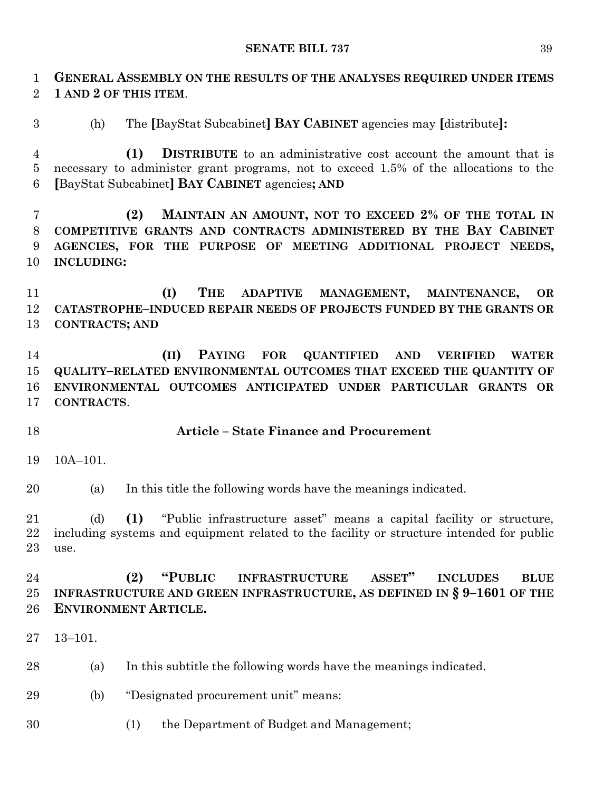**GENERAL ASSEMBLY ON THE RESULTS OF THE ANALYSES REQUIRED UNDER ITEMS 1 AND 2 OF THIS ITEM**.

(h) The **[**BayStat Subcabinet**] BAY CABINET** agencies may **[**distribute**]:**

 **(1) DISTRIBUTE** to an administrative cost account the amount that is necessary to administer grant programs, not to exceed 1.5% of the allocations to the **[**BayStat Subcabinet**] BAY CABINET** agencies**; AND**

 **(2) MAINTAIN AN AMOUNT, NOT TO EXCEED 2% OF THE TOTAL IN COMPETITIVE GRANTS AND CONTRACTS ADMINISTERED BY THE BAY CABINET AGENCIES, FOR THE PURPOSE OF MEETING ADDITIONAL PROJECT NEEDS, INCLUDING:**

 **(I) THE ADAPTIVE MANAGEMENT, MAINTENANCE, OR CATASTROPHE–INDUCED REPAIR NEEDS OF PROJECTS FUNDED BY THE GRANTS OR CONTRACTS; AND**

 **(II) PAYING FOR QUANTIFIED AND VERIFIED WATER QUALITY–RELATED ENVIRONMENTAL OUTCOMES THAT EXCEED THE QUANTITY OF ENVIRONMENTAL OUTCOMES ANTICIPATED UNDER PARTICULAR GRANTS OR CONTRACTS**.

# **Article – State Finance and Procurement**

10A–101.

(a) In this title the following words have the meanings indicated.

 (d) **(1)** "Public infrastructure asset" means a capital facility or structure, including systems and equipment related to the facility or structure intended for public use.

# **(2) "PUBLIC INFRASTRUCTURE ASSET" INCLUDES BLUE INFRASTRUCTURE AND GREEN INFRASTRUCTURE, AS DEFINED IN § 9–1601 OF THE ENVIRONMENT ARTICLE.**

13–101.

- (a) In this subtitle the following words have the meanings indicated.
- (b) "Designated procurement unit" means:
- (1) the Department of Budget and Management;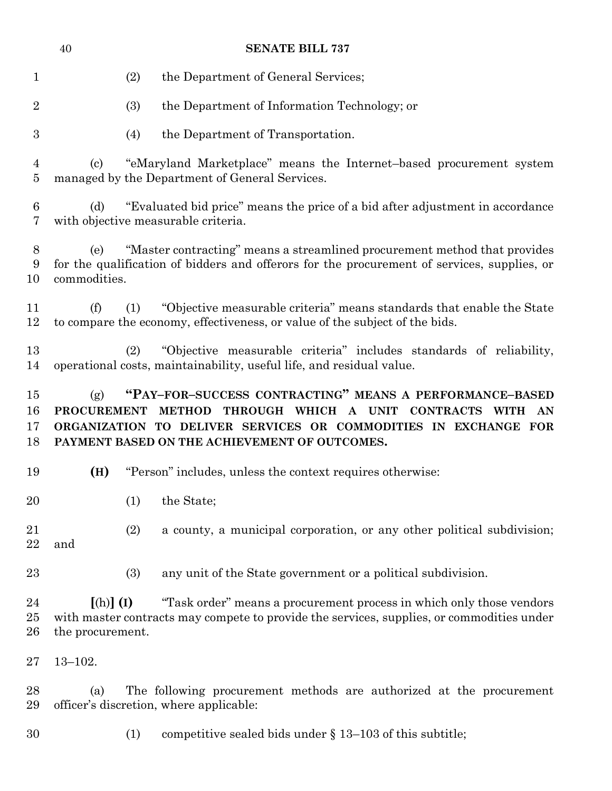|                      | <b>SENATE BILL 737</b><br>40                                                                                                                                                                                                                              |  |  |  |  |
|----------------------|-----------------------------------------------------------------------------------------------------------------------------------------------------------------------------------------------------------------------------------------------------------|--|--|--|--|
| $\mathbf{1}$         | (2)<br>the Department of General Services;                                                                                                                                                                                                                |  |  |  |  |
| $\overline{2}$       | the Department of Information Technology; or<br>(3)                                                                                                                                                                                                       |  |  |  |  |
| $\boldsymbol{3}$     | (4)<br>the Department of Transportation.                                                                                                                                                                                                                  |  |  |  |  |
| 4<br>$\overline{5}$  | "eMaryland Marketplace" means the Internet-based procurement system<br>(c)<br>managed by the Department of General Services.                                                                                                                              |  |  |  |  |
| 6<br>7               | "Evaluated bid price" means the price of a bid after adjustment in accordance<br>(d)<br>with objective measurable criteria.                                                                                                                               |  |  |  |  |
| 8<br>9<br>10         | "Master contracting" means a streamlined procurement method that provides<br>(e)<br>for the qualification of bidders and offerors for the procurement of services, supplies, or<br>commodities.                                                           |  |  |  |  |
| 11<br>12             | (f)<br>(1)<br>"Objective measurable criteria" means standards that enable the State<br>to compare the economy, effectiveness, or value of the subject of the bids.                                                                                        |  |  |  |  |
| 13<br>14             | "Objective measurable criteria" includes standards of reliability,<br>(2)<br>operational costs, maintainability, useful life, and residual value.                                                                                                         |  |  |  |  |
| 15<br>16<br>17<br>18 | "PAY-FOR-SUCCESS CONTRACTING" MEANS A PERFORMANCE-BASED<br>(g)<br>METHOD THROUGH WHICH A UNIT CONTRACTS WITH AN<br><b>PROCUREMENT</b><br>ORGANIZATION TO DELIVER SERVICES OR COMMODITIES IN EXCHANGE FOR<br>PAYMENT BASED ON THE ACHIEVEMENT OF OUTCOMES. |  |  |  |  |
| 19                   | "Person" includes, unless the context requires otherwise:<br>(H)                                                                                                                                                                                          |  |  |  |  |
| 20                   | (1)<br>the State;                                                                                                                                                                                                                                         |  |  |  |  |
| 21<br>22             | (2)<br>a county, a municipal corporation, or any other political subdivision;<br>and                                                                                                                                                                      |  |  |  |  |
| 23                   | (3)<br>any unit of the State government or a political subdivision.                                                                                                                                                                                       |  |  |  |  |
| 24<br>25<br>26       | $[(h)]$ $(I)$<br>"Task order" means a procurement process in which only those vendors<br>with master contracts may compete to provide the services, supplies, or commodities under<br>the procurement.                                                    |  |  |  |  |
| $27\,$               | $13 - 102.$                                                                                                                                                                                                                                               |  |  |  |  |
| 28<br>29             | The following procurement methods are authorized at the procurement<br>(a)<br>officer's discretion, where applicable:                                                                                                                                     |  |  |  |  |
| 30                   | (1)<br>competitive sealed bids under $\S$ 13–103 of this subtitle;                                                                                                                                                                                        |  |  |  |  |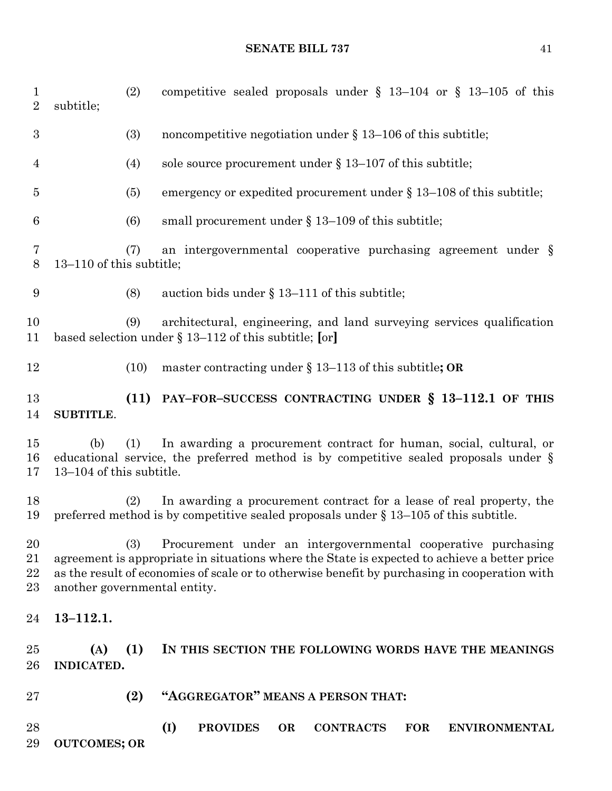| 1<br>$\overline{2}$  | subtitle;                                                                                                                                                                                                                                                                                             | (2)  | competitive sealed proposals under $\S$ 13-104 or $\S$ 13-105 of this                                                                                           |  |
|----------------------|-------------------------------------------------------------------------------------------------------------------------------------------------------------------------------------------------------------------------------------------------------------------------------------------------------|------|-----------------------------------------------------------------------------------------------------------------------------------------------------------------|--|
| $\boldsymbol{3}$     |                                                                                                                                                                                                                                                                                                       | (3)  | noncompetitive negotiation under $\S 13-106$ of this subtitle;                                                                                                  |  |
| 4                    |                                                                                                                                                                                                                                                                                                       | (4)  | sole source procurement under $\S 13-107$ of this subtitle;                                                                                                     |  |
| 5                    |                                                                                                                                                                                                                                                                                                       | (5)  | emergency or expedited procurement under $\S$ 13–108 of this subtitle;                                                                                          |  |
| $\boldsymbol{6}$     |                                                                                                                                                                                                                                                                                                       | (6)  | small procurement under $\S 13-109$ of this subtitle;                                                                                                           |  |
| 7<br>8               | 13-110 of this subtitle;                                                                                                                                                                                                                                                                              | (7)  | an intergovernmental cooperative purchasing agreement under $\S$                                                                                                |  |
| 9                    |                                                                                                                                                                                                                                                                                                       | (8)  | auction bids under $\S 13-111$ of this subtitle;                                                                                                                |  |
| 10<br>11             |                                                                                                                                                                                                                                                                                                       | (9)  | architectural, engineering, and land surveying services qualification<br>based selection under § 13-112 of this subtitle; [or]                                  |  |
| 12                   |                                                                                                                                                                                                                                                                                                       | (10) | master contracting under $\S 13-113$ of this subtitle; OR                                                                                                       |  |
| 13<br>14             | <b>SUBTITLE.</b>                                                                                                                                                                                                                                                                                      | (11) | PAY-FOR-SUCCESS CONTRACTING UNDER § 13-112.1 OF THIS                                                                                                            |  |
| 15<br>16<br>17       | (b)<br>13-104 of this subtitle.                                                                                                                                                                                                                                                                       | (1)  | In awarding a procurement contract for human, social, cultural, or<br>educational service, the preferred method is by competitive sealed proposals under $\S$   |  |
| 18<br>19             |                                                                                                                                                                                                                                                                                                       | (2)  | In awarding a procurement contract for a lease of real property, the<br>preferred method is by competitive sealed proposals under $\S 13-105$ of this subtitle. |  |
| 20<br>21<br>22<br>23 | (3)<br>Procurement under an intergovernmental cooperative purchasing<br>agreement is appropriate in situations where the State is expected to achieve a better price<br>as the result of economies of scale or to otherwise benefit by purchasing in cooperation with<br>another governmental entity. |      |                                                                                                                                                                 |  |
| 24                   | $13 - 112.1.$                                                                                                                                                                                                                                                                                         |      |                                                                                                                                                                 |  |
| $25\,$<br>26         | (A)<br>INDICATED.                                                                                                                                                                                                                                                                                     | (1)  | IN THIS SECTION THE FOLLOWING WORDS HAVE THE MEANINGS                                                                                                           |  |
| $27\,$               |                                                                                                                                                                                                                                                                                                       | (2)  | "AGGREGATOR" MEANS A PERSON THAT:                                                                                                                               |  |
| 28<br>29             | <b>OUTCOMES; OR</b>                                                                                                                                                                                                                                                                                   |      | (I)<br><b>PROVIDES</b><br><b>CONTRACTS</b><br><b>FOR</b><br><b>OR</b><br><b>ENVIRONMENTAL</b>                                                                   |  |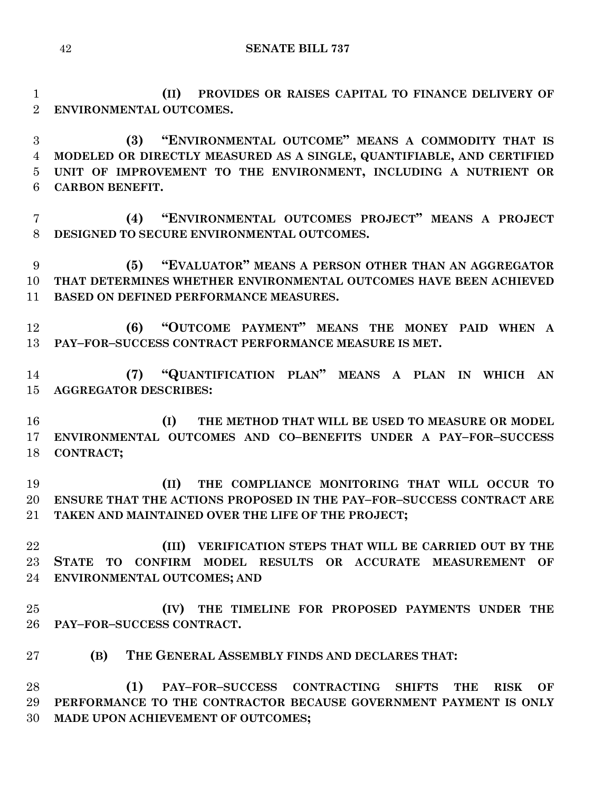**(II) PROVIDES OR RAISES CAPITAL TO FINANCE DELIVERY OF ENVIRONMENTAL OUTCOMES.**

 **(3) "ENVIRONMENTAL OUTCOME" MEANS A COMMODITY THAT IS MODELED OR DIRECTLY MEASURED AS A SINGLE, QUANTIFIABLE, AND CERTIFIED UNIT OF IMPROVEMENT TO THE ENVIRONMENT, INCLUDING A NUTRIENT OR CARBON BENEFIT.**

 **(4) "ENVIRONMENTAL OUTCOMES PROJECT" MEANS A PROJECT DESIGNED TO SECURE ENVIRONMENTAL OUTCOMES.**

 **(5) "EVALUATOR" MEANS A PERSON OTHER THAN AN AGGREGATOR THAT DETERMINES WHETHER ENVIRONMENTAL OUTCOMES HAVE BEEN ACHIEVED BASED ON DEFINED PERFORMANCE MEASURES.**

 **(6) "OUTCOME PAYMENT" MEANS THE MONEY PAID WHEN A PAY–FOR–SUCCESS CONTRACT PERFORMANCE MEASURE IS MET.**

 **(7) "QUANTIFICATION PLAN" MEANS A PLAN IN WHICH AN AGGREGATOR DESCRIBES:**

 **(I) THE METHOD THAT WILL BE USED TO MEASURE OR MODEL ENVIRONMENTAL OUTCOMES AND CO–BENEFITS UNDER A PAY–FOR–SUCCESS CONTRACT;**

 **(II) THE COMPLIANCE MONITORING THAT WILL OCCUR TO ENSURE THAT THE ACTIONS PROPOSED IN THE PAY–FOR–SUCCESS CONTRACT ARE TAKEN AND MAINTAINED OVER THE LIFE OF THE PROJECT;**

 **(III) VERIFICATION STEPS THAT WILL BE CARRIED OUT BY THE STATE TO CONFIRM MODEL RESULTS OR ACCURATE MEASUREMENT OF ENVIRONMENTAL OUTCOMES; AND** 

 **(IV) THE TIMELINE FOR PROPOSED PAYMENTS UNDER THE PAY–FOR–SUCCESS CONTRACT.**

**(B) THE GENERAL ASSEMBLY FINDS AND DECLARES THAT:**

 **(1) PAY–FOR–SUCCESS CONTRACTING SHIFTS THE RISK OF PERFORMANCE TO THE CONTRACTOR BECAUSE GOVERNMENT PAYMENT IS ONLY MADE UPON ACHIEVEMENT OF OUTCOMES;**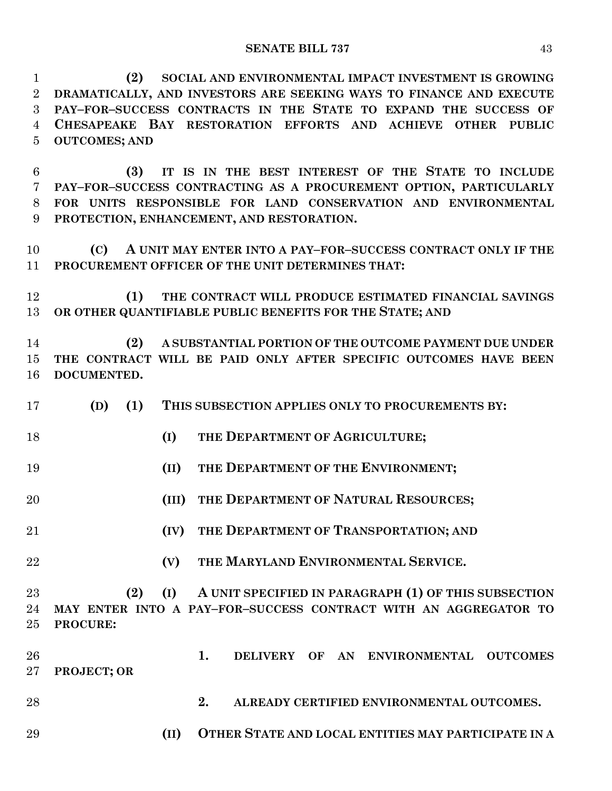**(2) SOCIAL AND ENVIRONMENTAL IMPACT INVESTMENT IS GROWING DRAMATICALLY, AND INVESTORS ARE SEEKING WAYS TO FINANCE AND EXECUTE PAY–FOR–SUCCESS CONTRACTS IN THE STATE TO EXPAND THE SUCCESS OF CHESAPEAKE BAY RESTORATION EFFORTS AND ACHIEVE OTHER PUBLIC OUTCOMES; AND**

 **(3) IT IS IN THE BEST INTEREST OF THE STATE TO INCLUDE PAY–FOR–SUCCESS CONTRACTING AS A PROCUREMENT OPTION, PARTICULARLY FOR UNITS RESPONSIBLE FOR LAND CONSERVATION AND ENVIRONMENTAL PROTECTION, ENHANCEMENT, AND RESTORATION.**

 **(C) A UNIT MAY ENTER INTO A PAY–FOR–SUCCESS CONTRACT ONLY IF THE PROCUREMENT OFFICER OF THE UNIT DETERMINES THAT:**

 **(1) THE CONTRACT WILL PRODUCE ESTIMATED FINANCIAL SAVINGS OR OTHER QUANTIFIABLE PUBLIC BENEFITS FOR THE STATE; AND**

 **(2) A SUBSTANTIAL PORTION OF THE OUTCOME PAYMENT DUE UNDER THE CONTRACT WILL BE PAID ONLY AFTER SPECIFIC OUTCOMES HAVE BEEN DOCUMENTED.**

- **(D) (1) THIS SUBSECTION APPLIES ONLY TO PROCUREMENTS BY:**
- **(I) THE DEPARTMENT OF AGRICULTURE;**
- **(II) THE DEPARTMENT OF THE ENVIRONMENT;**
- **(III) THE DEPARTMENT OF NATURAL RESOURCES;**
- **(IV) THE DEPARTMENT OF TRANSPORTATION; AND**
- 
- **(V) THE MARYLAND ENVIRONMENTAL SERVICE.**

 **(2) (I) A UNIT SPECIFIED IN PARAGRAPH (1) OF THIS SUBSECTION MAY ENTER INTO A PAY–FOR–SUCCESS CONTRACT WITH AN AGGREGATOR TO PROCURE:**

 **1. DELIVERY OF AN ENVIRONMENTAL OUTCOMES PROJECT; OR**

- **2. ALREADY CERTIFIED ENVIRONMENTAL OUTCOMES.**
	- **(II) OTHER STATE AND LOCAL ENTITIES MAY PARTICIPATE IN A**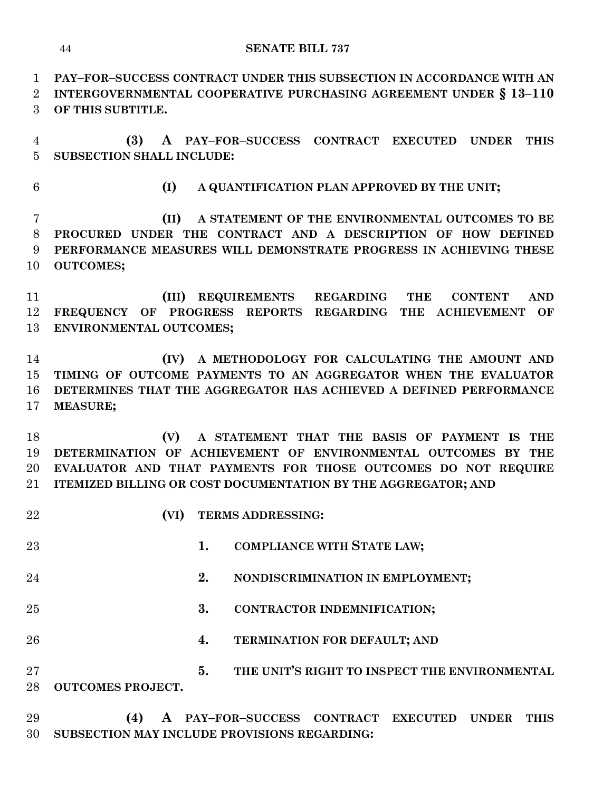**PAY–FOR–SUCCESS CONTRACT UNDER THIS SUBSECTION IN ACCORDANCE WITH AN INTERGOVERNMENTAL COOPERATIVE PURCHASING AGREEMENT UNDER § 13–110 OF THIS SUBTITLE.**

 **(3) A PAY–FOR–SUCCESS CONTRACT EXECUTED UNDER THIS SUBSECTION SHALL INCLUDE:**

**(I) A QUANTIFICATION PLAN APPROVED BY THE UNIT;**

 **(II) A STATEMENT OF THE ENVIRONMENTAL OUTCOMES TO BE PROCURED UNDER THE CONTRACT AND A DESCRIPTION OF HOW DEFINED PERFORMANCE MEASURES WILL DEMONSTRATE PROGRESS IN ACHIEVING THESE OUTCOMES;**

 **(III) REQUIREMENTS REGARDING THE CONTENT AND FREQUENCY OF PROGRESS REPORTS REGARDING THE ACHIEVEMENT OF ENVIRONMENTAL OUTCOMES;**

 **(IV) A METHODOLOGY FOR CALCULATING THE AMOUNT AND TIMING OF OUTCOME PAYMENTS TO AN AGGREGATOR WHEN THE EVALUATOR DETERMINES THAT THE AGGREGATOR HAS ACHIEVED A DEFINED PERFORMANCE MEASURE;**

 **(V) A STATEMENT THAT THE BASIS OF PAYMENT IS THE DETERMINATION OF ACHIEVEMENT OF ENVIRONMENTAL OUTCOMES BY THE EVALUATOR AND THAT PAYMENTS FOR THOSE OUTCOMES DO NOT REQUIRE ITEMIZED BILLING OR COST DOCUMENTATION BY THE AGGREGATOR; AND**

**(VI) TERMS ADDRESSING:**

 **1. COMPLIANCE WITH STATE LAW; 2. NONDISCRIMINATION IN EMPLOYMENT; 3. CONTRACTOR INDEMNIFICATION; 4. TERMINATION FOR DEFAULT; AND 5. THE UNIT'S RIGHT TO INSPECT THE ENVIRONMENTAL OUTCOMES PROJECT. (4) A PAY–FOR–SUCCESS CONTRACT EXECUTED UNDER THIS SUBSECTION MAY INCLUDE PROVISIONS REGARDING:**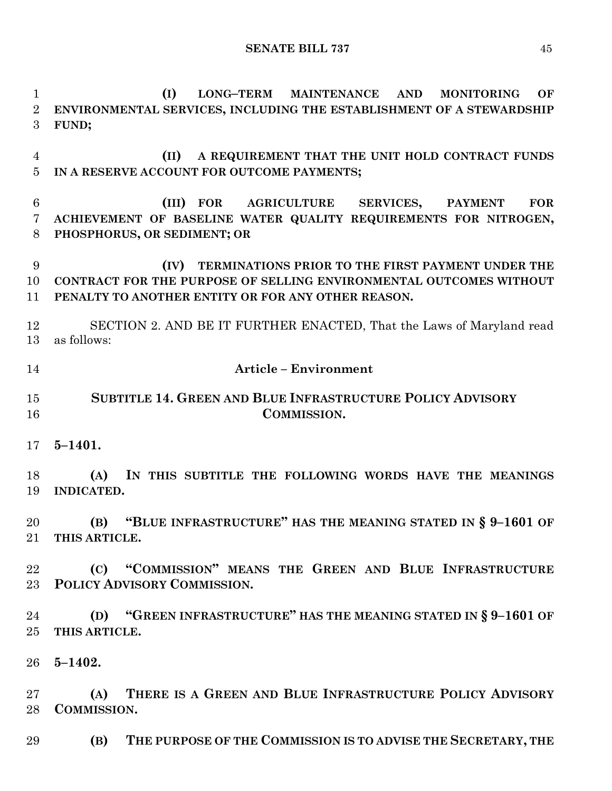**(I) LONG–TERM MAINTENANCE AND MONITORING OF ENVIRONMENTAL SERVICES, INCLUDING THE ESTABLISHMENT OF A STEWARDSHIP FUND; (II) A REQUIREMENT THAT THE UNIT HOLD CONTRACT FUNDS IN A RESERVE ACCOUNT FOR OUTCOME PAYMENTS; (III) FOR AGRICULTURE SERVICES, PAYMENT FOR ACHIEVEMENT OF BASELINE WATER QUALITY REQUIREMENTS FOR NITROGEN, PHOSPHORUS, OR SEDIMENT; OR (IV) TERMINATIONS PRIOR TO THE FIRST PAYMENT UNDER THE CONTRACT FOR THE PURPOSE OF SELLING ENVIRONMENTAL OUTCOMES WITHOUT PENALTY TO ANOTHER ENTITY OR FOR ANY OTHER REASON.** SECTION 2. AND BE IT FURTHER ENACTED, That the Laws of Maryland read as follows: **Article – Environment SUBTITLE 14. GREEN AND BLUE INFRASTRUCTURE POLICY ADVISORY COMMISSION. 5–1401. (A) IN THIS SUBTITLE THE FOLLOWING WORDS HAVE THE MEANINGS INDICATED. (B) "BLUE INFRASTRUCTURE" HAS THE MEANING STATED IN § 9–1601 OF THIS ARTICLE. (C) "COMMISSION" MEANS THE GREEN AND BLUE INFRASTRUCTURE POLICY ADVISORY COMMISSION. (D) "GREEN INFRASTRUCTURE" HAS THE MEANING STATED IN § 9–1601 OF THIS ARTICLE. 5–1402. (A) THERE IS A GREEN AND BLUE INFRASTRUCTURE POLICY ADVISORY COMMISSION. (B) THE PURPOSE OF THE COMMISSION IS TO ADVISE THE SECRETARY, THE**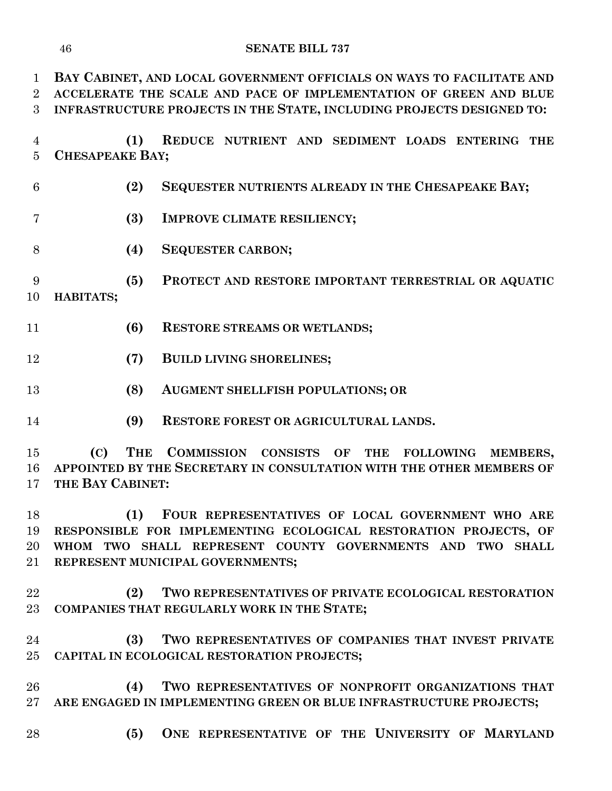**BAY CABINET, AND LOCAL GOVERNMENT OFFICIALS ON WAYS TO FACILITATE AND ACCELERATE THE SCALE AND PACE OF IMPLEMENTATION OF GREEN AND BLUE INFRASTRUCTURE PROJECTS IN THE STATE, INCLUDING PROJECTS DESIGNED TO:**

- **(1) REDUCE NUTRIENT AND SEDIMENT LOADS ENTERING THE CHESAPEAKE BAY;**
- **(2) SEQUESTER NUTRIENTS ALREADY IN THE CHESAPEAKE BAY;**
- **(3) IMPROVE CLIMATE RESILIENCY;**
- **(4) SEQUESTER CARBON;**
- **(5) PROTECT AND RESTORE IMPORTANT TERRESTRIAL OR AQUATIC HABITATS;**
- **(6) RESTORE STREAMS OR WETLANDS;**
- **(7) BUILD LIVING SHORELINES;**
- **(8) AUGMENT SHELLFISH POPULATIONS; OR**
- **(9) RESTORE FOREST OR AGRICULTURAL LANDS.**

 **(C) THE COMMISSION CONSISTS OF THE FOLLOWING MEMBERS, APPOINTED BY THE SECRETARY IN CONSULTATION WITH THE OTHER MEMBERS OF THE BAY CABINET:**

 **(1) FOUR REPRESENTATIVES OF LOCAL GOVERNMENT WHO ARE RESPONSIBLE FOR IMPLEMENTING ECOLOGICAL RESTORATION PROJECTS, OF WHOM TWO SHALL REPRESENT COUNTY GOVERNMENTS AND TWO SHALL REPRESENT MUNICIPAL GOVERNMENTS;**

- **(2) TWO REPRESENTATIVES OF PRIVATE ECOLOGICAL RESTORATION COMPANIES THAT REGULARLY WORK IN THE STATE;**
- **(3) TWO REPRESENTATIVES OF COMPANIES THAT INVEST PRIVATE CAPITAL IN ECOLOGICAL RESTORATION PROJECTS;**

 **(4) TWO REPRESENTATIVES OF NONPROFIT ORGANIZATIONS THAT ARE ENGAGED IN IMPLEMENTING GREEN OR BLUE INFRASTRUCTURE PROJECTS;**

**(5) ONE REPRESENTATIVE OF THE UNIVERSITY OF MARYLAND**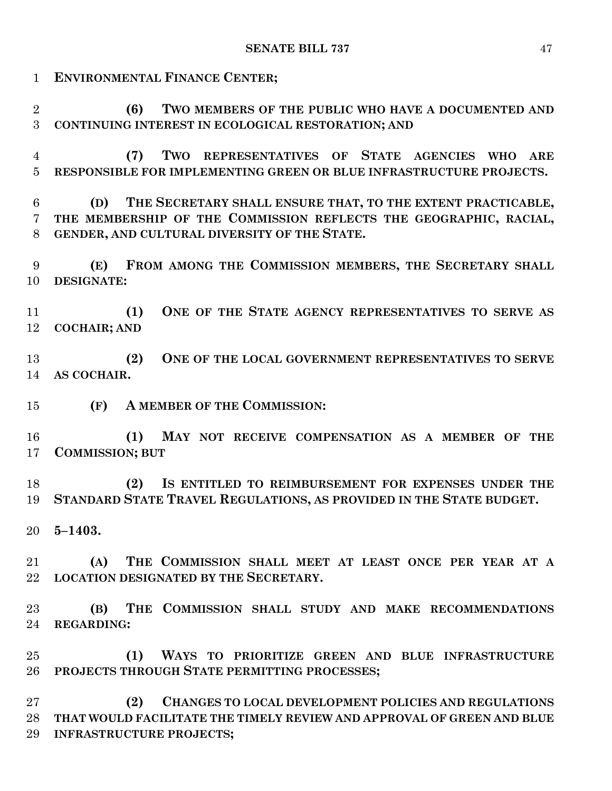**SENATE BILL 737** 47 **ENVIRONMENTAL FINANCE CENTER; (6) TWO MEMBERS OF THE PUBLIC WHO HAVE A DOCUMENTED AND CONTINUING INTEREST IN ECOLOGICAL RESTORATION; AND (7) TWO REPRESENTATIVES OF STATE AGENCIES WHO ARE RESPONSIBLE FOR IMPLEMENTING GREEN OR BLUE INFRASTRUCTURE PROJECTS. (D) THE SECRETARY SHALL ENSURE THAT, TO THE EXTENT PRACTICABLE, THE MEMBERSHIP OF THE COMMISSION REFLECTS THE GEOGRAPHIC, RACIAL, GENDER, AND CULTURAL DIVERSITY OF THE STATE. (E) FROM AMONG THE COMMISSION MEMBERS, THE SECRETARY SHALL DESIGNATE: (1) ONE OF THE STATE AGENCY REPRESENTATIVES TO SERVE AS COCHAIR; AND (2) ONE OF THE LOCAL GOVERNMENT REPRESENTATIVES TO SERVE AS COCHAIR. (F) A MEMBER OF THE COMMISSION: (1) MAY NOT RECEIVE COMPENSATION AS A MEMBER OF THE COMMISSION; BUT (2) IS ENTITLED TO REIMBURSEMENT FOR EXPENSES UNDER THE STANDARD STATE TRAVEL REGULATIONS, AS PROVIDED IN THE STATE BUDGET. 5–1403. (A) THE COMMISSION SHALL MEET AT LEAST ONCE PER YEAR AT A LOCATION DESIGNATED BY THE SECRETARY. (B) THE COMMISSION SHALL STUDY AND MAKE RECOMMENDATIONS REGARDING: (1) WAYS TO PRIORITIZE GREEN AND BLUE INFRASTRUCTURE PROJECTS THROUGH STATE PERMITTING PROCESSES;**

 **(2) CHANGES TO LOCAL DEVELOPMENT POLICIES AND REGULATIONS THAT WOULD FACILITATE THE TIMELY REVIEW AND APPROVAL OF GREEN AND BLUE INFRASTRUCTURE PROJECTS;**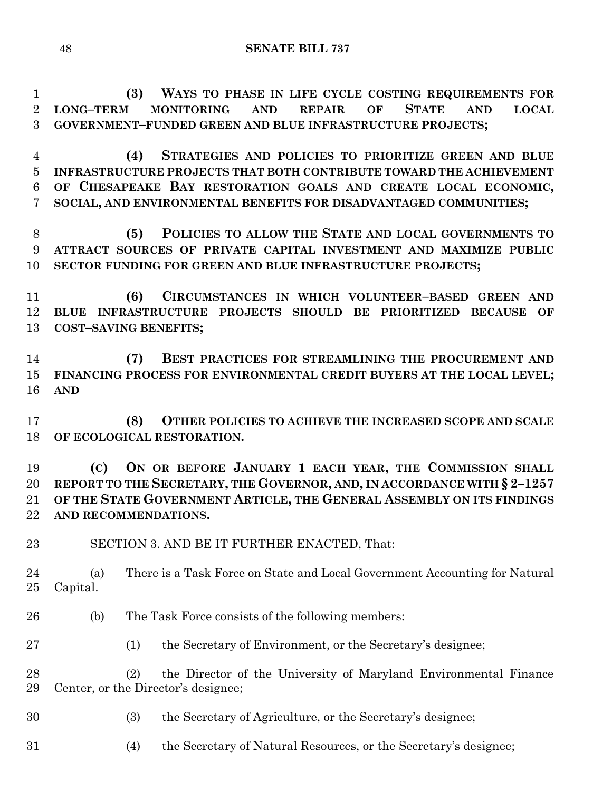**(3) WAYS TO PHASE IN LIFE CYCLE COSTING REQUIREMENTS FOR LONG–TERM MONITORING AND REPAIR OF STATE AND LOCAL GOVERNMENT–FUNDED GREEN AND BLUE INFRASTRUCTURE PROJECTS;**

 **(4) STRATEGIES AND POLICIES TO PRIORITIZE GREEN AND BLUE INFRASTRUCTURE PROJECTS THAT BOTH CONTRIBUTE TOWARD THE ACHIEVEMENT OF CHESAPEAKE BAY RESTORATION GOALS AND CREATE LOCAL ECONOMIC, SOCIAL, AND ENVIRONMENTAL BENEFITS FOR DISADVANTAGED COMMUNITIES;**

 **(5) POLICIES TO ALLOW THE STATE AND LOCAL GOVERNMENTS TO ATTRACT SOURCES OF PRIVATE CAPITAL INVESTMENT AND MAXIMIZE PUBLIC SECTOR FUNDING FOR GREEN AND BLUE INFRASTRUCTURE PROJECTS;**

 **(6) CIRCUMSTANCES IN WHICH VOLUNTEER–BASED GREEN AND BLUE INFRASTRUCTURE PROJECTS SHOULD BE PRIORITIZED BECAUSE OF COST–SAVING BENEFITS;**

 **(7) BEST PRACTICES FOR STREAMLINING THE PROCUREMENT AND FINANCING PROCESS FOR ENVIRONMENTAL CREDIT BUYERS AT THE LOCAL LEVEL; AND**

 **(8) OTHER POLICIES TO ACHIEVE THE INCREASED SCOPE AND SCALE OF ECOLOGICAL RESTORATION.**

 **(C) ON OR BEFORE JANUARY 1 EACH YEAR, THE COMMISSION SHALL REPORT TO THE SECRETARY, THE GOVERNOR, AND, IN ACCORDANCE WITH § 2–1257 OF THE STATE GOVERNMENT ARTICLE, THE GENERAL ASSEMBLY ON ITS FINDINGS AND RECOMMENDATIONS.**

SECTION 3. AND BE IT FURTHER ENACTED, That:

 (a) There is a Task Force on State and Local Government Accounting for Natural Capital.

- (b) The Task Force consists of the following members:
- (1) the Secretary of Environment, or the Secretary's designee;

 (2) the Director of the University of Maryland Environmental Finance Center, or the Director's designee;

- (3) the Secretary of Agriculture, or the Secretary's designee;
- (4) the Secretary of Natural Resources, or the Secretary's designee;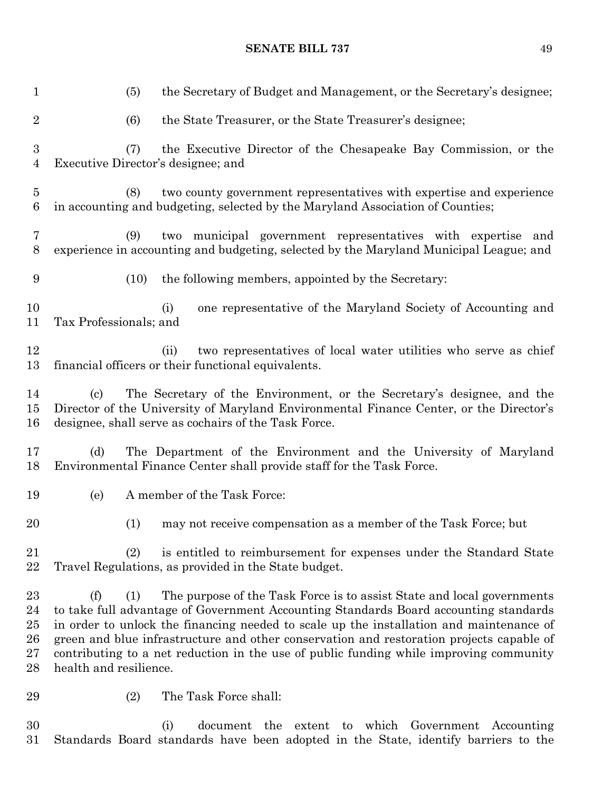(5) the Secretary of Budget and Management, or the Secretary's designee; (6) the State Treasurer, or the State Treasurer's designee; (7) the Executive Director of the Chesapeake Bay Commission, or the Executive Director's designee; and (8) two county government representatives with expertise and experience in accounting and budgeting, selected by the Maryland Association of Counties; (9) two municipal government representatives with expertise and experience in accounting and budgeting, selected by the Maryland Municipal League; and (10) the following members, appointed by the Secretary: (i) one representative of the Maryland Society of Accounting and Tax Professionals; and (ii) two representatives of local water utilities who serve as chief financial officers or their functional equivalents. (c) The Secretary of the Environment, or the Secretary's designee, and the Director of the University of Maryland Environmental Finance Center, or the Director's designee, shall serve as cochairs of the Task Force. (d) The Department of the Environment and the University of Maryland Environmental Finance Center shall provide staff for the Task Force. (e) A member of the Task Force: (1) may not receive compensation as a member of the Task Force; but (2) is entitled to reimbursement for expenses under the Standard State Travel Regulations, as provided in the State budget. (f) (1) The purpose of the Task Force is to assist State and local governments to take full advantage of Government Accounting Standards Board accounting standards in order to unlock the financing needed to scale up the installation and maintenance of green and blue infrastructure and other conservation and restoration projects capable of contributing to a net reduction in the use of public funding while improving community health and resilience. (2) The Task Force shall: (i) document the extent to which Government Accounting

Standards Board standards have been adopted in the State, identify barriers to the